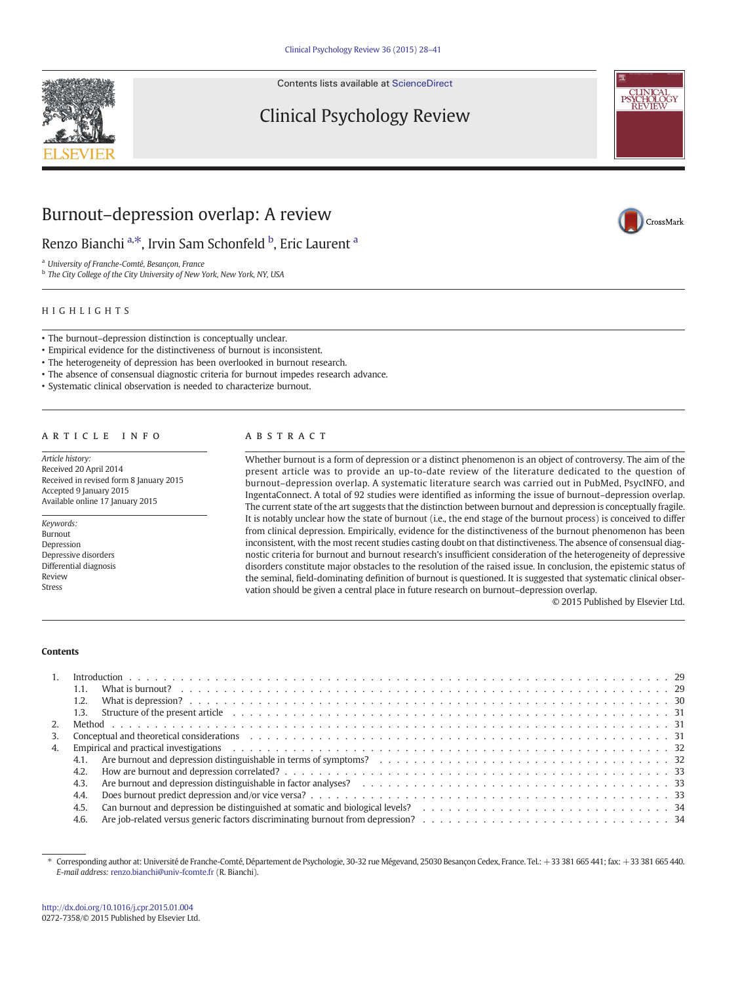Contents lists available at [ScienceDirect](http://www.sciencedirect.com/science/journal/02727358)

# Clinical Psychology Review

# Burnout–depression overlap: A review

Renzo Bianchi a,\*, Irvin Sam Schonfeld <sup>b</sup>, Eric Laurent <sup>a</sup>

<sup>a</sup> University of Franche-Comté, Besançon, France

b The City College of the City University of New York, New York, NY, USA

# HIGHLIGHTS

• The burnout–depression distinction is conceptually unclear.

• Empirical evidence for the distinctiveness of burnout is inconsistent.

• The heterogeneity of depression has been overlooked in burnout research.

• The absence of consensual diagnostic criteria for burnout impedes research advance.

• Systematic clinical observation is needed to characterize burnout.

# article info abstract

Article history: Received 20 April 2014 Received in revised form 8 January 2015 Accepted 9 January 2015 Available online 17 January 2015

Keywords: Burnout Depression Depressive disorders Differential diagnosis Review Stress

Whether burnout is a form of depression or a distinct phenomenon is an object of controversy. The aim of the present article was to provide an up-to-date review of the literature dedicated to the question of burnout–depression overlap. A systematic literature search was carried out in PubMed, PsycINFO, and IngentaConnect. A total of 92 studies were identified as informing the issue of burnout–depression overlap. The current state of the art suggests that the distinction between burnout and depression is conceptually fragile. It is notably unclear how the state of burnout (i.e., the end stage of the burnout process) is conceived to differ from clinical depression. Empirically, evidence for the distinctiveness of the burnout phenomenon has been inconsistent, with the most recent studies casting doubt on that distinctiveness. The absence of consensual diagnostic criteria for burnout and burnout research's insufficient consideration of the heterogeneity of depressive disorders constitute major obstacles to the resolution of the raised issue. In conclusion, the epistemic status of the seminal, field-dominating definition of burnout is questioned. It is suggested that systematic clinical observation should be given a central place in future research on burnout–depression overlap.

© 2015 Published by Elsevier Ltd.

#### **Contents**

|               | 1.1  |                                                                                                                                                                                                                                |
|---------------|------|--------------------------------------------------------------------------------------------------------------------------------------------------------------------------------------------------------------------------------|
|               | 1.2. |                                                                                                                                                                                                                                |
|               | 1.3. | Structure of the present article enterpretation of the content of the content of the content of the present article enterpretation of the content of the content of the present article enterpretation of the content of the c |
|               |      |                                                                                                                                                                                                                                |
| $\mathcal{E}$ |      | Conceptual and theoretical considerations enterities and the content of the conceptual and theoretical considerations enterities are content to content the content of $31$                                                    |
| $\mathbf{4}$  |      | Empirical and practical investigations extended by extending the content of the content of the content of the content of the content of the content of the content of the content of the content of the content of the content |
|               |      | Are burnout and depression distinguishable in terms of symptoms?<br>$\ldots$ $\ldots$ $\ldots$ $\ldots$ $\ldots$ $\ldots$ $\ldots$ $\ldots$ $\ldots$ $\ldots$ $\ldots$ $\ldots$ $\ldots$ $\ldots$ $\ldots$                     |
|               | 4.2. |                                                                                                                                                                                                                                |
|               | 43.  |                                                                                                                                                                                                                                |
|               | 4.4. |                                                                                                                                                                                                                                |
|               | 4.5. |                                                                                                                                                                                                                                |
|               | 4.6. |                                                                                                                                                                                                                                |

⁎ Corresponding author at: Université de Franche-Comté, Département de Psychologie, 30-32 rue Mégevand, 25030 Besançon Cedex, France. Tel.: +33 381 665 441; fax: +33 381 665 440. E-mail address: [renzo.bianchi@univ-fcomte.fr](mailto:renzo.bianchi@univ-fcomte.fr) (R. Bianchi).





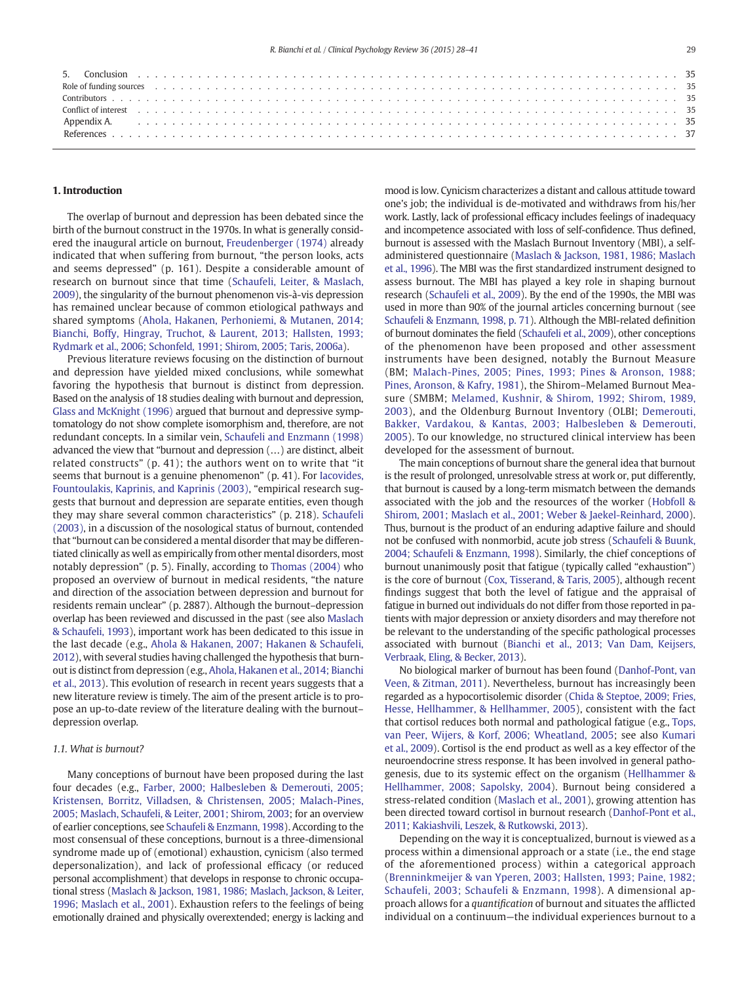| Role of funding sources response to receive the set of the control of the set of the control of the set of the set of the set of the set of the set of the set of the set of the set of the set of the set of the set of the s |  |
|--------------------------------------------------------------------------------------------------------------------------------------------------------------------------------------------------------------------------------|--|
|                                                                                                                                                                                                                                |  |
|                                                                                                                                                                                                                                |  |
|                                                                                                                                                                                                                                |  |
|                                                                                                                                                                                                                                |  |
|                                                                                                                                                                                                                                |  |

# 1. Introduction

The overlap of burnout and depression has been debated since the birth of the burnout construct in the 1970s. In what is generally considered the inaugural article on burnout, [Freudenberger \(1974\)](#page-10-0) already indicated that when suffering from burnout, "the person looks, acts and seems depressed" (p. 161). Despite a considerable amount of research on burnout since that time ([Schaufeli, Leiter, & Maslach,](#page-12-0) [2009](#page-12-0)), the singularity of the burnout phenomenon vis-à-vis depression has remained unclear because of common etiological pathways and shared symptoms [\(Ahola, Hakanen, Perhoniemi, & Mutanen, 2014;](#page-9-0) [Bianchi, Boffy, Hingray, Truchot, & Laurent, 2013; Hallsten, 1993;](#page-9-0) [Rydmark et al., 2006; Schonfeld, 1991; Shirom, 2005; Taris, 2006a\)](#page-9-0).

Previous literature reviews focusing on the distinction of burnout and depression have yielded mixed conclusions, while somewhat favoring the hypothesis that burnout is distinct from depression. Based on the analysis of 18 studies dealing with burnout and depression, [Glass and McKnight \(1996\)](#page-10-0) argued that burnout and depressive symptomatology do not show complete isomorphism and, therefore, are not redundant concepts. In a similar vein, [Schaufeli and Enzmann \(1998\)](#page-12-0) advanced the view that "burnout and depression (…) are distinct, albeit related constructs" (p. 41); the authors went on to write that "it seems that burnout is a genuine phenomenon" (p. 41). For [Iacovides,](#page-11-0) [Fountoulakis, Kaprinis, and Kaprinis \(2003\),](#page-11-0) "empirical research suggests that burnout and depression are separate entities, even though they may share several common characteristics" (p. 218). [Schaufeli](#page-12-0) [\(2003\)](#page-12-0), in a discussion of the nosological status of burnout, contended that "burnout can be considered a mental disorder that may be differentiated clinically as well as empirically from other mental disorders, most notably depression" (p. 5). Finally, according to [Thomas \(2004\)](#page-12-0) who proposed an overview of burnout in medical residents, "the nature and direction of the association between depression and burnout for residents remain unclear" (p. 2887). Although the burnout–depression overlap has been reviewed and discussed in the past (see also [Maslach](#page-11-0) [& Schaufeli, 1993](#page-11-0)), important work has been dedicated to this issue in the last decade (e.g., [Ahola & Hakanen, 2007; Hakanen & Schaufeli,](#page-9-0) [2012](#page-9-0)), with several studies having challenged the hypothesis that burnout is distinct from depression (e.g., [Ahola, Hakanen et al., 2014; Bianchi](#page-9-0) [et al., 2013\)](#page-9-0). This evolution of research in recent years suggests that a new literature review is timely. The aim of the present article is to propose an up-to-date review of the literature dealing with the burnout– depression overlap.

#### 1.1. What is burnout?

Many conceptions of burnout have been proposed during the last four decades (e.g., [Farber, 2000; Halbesleben & Demerouti, 2005;](#page-10-0) [Kristensen, Borritz, Villadsen, & Christensen, 2005; Malach-Pines,](#page-10-0) [2005; Maslach, Schaufeli, & Leiter, 2001; Shirom, 2003;](#page-10-0) for an overview of earlier conceptions, see [Schaufeli & Enzmann, 1998](#page-12-0)). According to the most consensual of these conceptions, burnout is a three-dimensional syndrome made up of (emotional) exhaustion, cynicism (also termed depersonalization), and lack of professional efficacy (or reduced personal accomplishment) that develops in response to chronic occupational stress [\(Maslach & Jackson, 1981, 1986; Maslach, Jackson, & Leiter,](#page-11-0) [1996; Maslach et al., 2001](#page-11-0)). Exhaustion refers to the feelings of being emotionally drained and physically overextended; energy is lacking and mood is low. Cynicism characterizes a distant and callous attitude toward one's job; the individual is de-motivated and withdraws from his/her work. Lastly, lack of professional efficacy includes feelings of inadequacy and incompetence associated with loss of self-confidence. Thus defined, burnout is assessed with the Maslach Burnout Inventory (MBI), a selfadministered questionnaire ([Maslach & Jackson, 1981, 1986; Maslach](#page-11-0) [et al., 1996](#page-11-0)). The MBI was the first standardized instrument designed to assess burnout. The MBI has played a key role in shaping burnout research ([Schaufeli et al., 2009](#page-12-0)). By the end of the 1990s, the MBI was used in more than 90% of the journal articles concerning burnout (see [Schaufeli & Enzmann, 1998, p. 71\)](#page-12-0). Although the MBI-related definition of burnout dominates the field ([Schaufeli et al., 2009](#page-12-0)), other conceptions of the phenomenon have been proposed and other assessment instruments have been designed, notably the Burnout Measure (BM; [Malach-Pines, 2005; Pines, 1993; Pines & Aronson, 1988;](#page-11-0) [Pines, Aronson, & Kafry, 1981\)](#page-11-0), the Shirom–Melamed Burnout Measure (SMBM; [Melamed, Kushnir, & Shirom, 1992; Shirom, 1989,](#page-11-0) [2003\)](#page-11-0), and the Oldenburg Burnout Inventory (OLBI; [Demerouti,](#page-10-0) [Bakker, Vardakou, & Kantas, 2003; Halbesleben & Demerouti,](#page-10-0) [2005](#page-10-0)). To our knowledge, no structured clinical interview has been developed for the assessment of burnout.

The main conceptions of burnout share the general idea that burnout is the result of prolonged, unresolvable stress at work or, put differently, that burnout is caused by a long-term mismatch between the demands associated with the job and the resources of the worker ([Hobfoll &](#page-11-0) [Shirom, 2001; Maslach et al., 2001; Weber & Jaekel-Reinhard, 2000](#page-11-0)). Thus, burnout is the product of an enduring adaptive failure and should not be confused with nonmorbid, acute job stress [\(Schaufeli & Buunk,](#page-12-0) [2004; Schaufeli & Enzmann, 1998\)](#page-12-0). Similarly, the chief conceptions of burnout unanimously posit that fatigue (typically called "exhaustion") is the core of burnout [\(Cox, Tisserand, & Taris, 2005](#page-10-0)), although recent findings suggest that both the level of fatigue and the appraisal of fatigue in burned out individuals do not differ from those reported in patients with major depression or anxiety disorders and may therefore not be relevant to the understanding of the specific pathological processes associated with burnout ([Bianchi et al., 2013; Van Dam, Keijsers,](#page-10-0) [Verbraak, Eling, & Becker, 2013\)](#page-10-0).

No biological marker of burnout has been found [\(Danhof-Pont, van](#page-10-0) [Veen, & Zitman, 2011](#page-10-0)). Nevertheless, burnout has increasingly been regarded as a hypocortisolemic disorder [\(Chida & Steptoe, 2009; Fries,](#page-10-0) [Hesse, Hellhammer, & Hellhammer, 2005\)](#page-10-0), consistent with the fact that cortisol reduces both normal and pathological fatigue (e.g., [Tops,](#page-13-0) [van Peer, Wijers, & Korf, 2006; Wheatland, 2005;](#page-13-0) see also [Kumari](#page-11-0) et [al., 2009](#page-11-0)). Cortisol is the end product as well as a key effector of the neuroendocrine stress response. It has been involved in general pathogenesis, due to its systemic effect on the organism [\(Hellhammer &](#page-11-0) [Hellhammer, 2008; Sapolsky, 2004\)](#page-11-0). Burnout being considered a stress-related condition [\(Maslach et al., 2001\)](#page-11-0), growing attention has been directed toward cortisol in burnout research ([Danhof-Pont et al.,](#page-10-0) [2011; Kakiashvili, Leszek, & Rutkowski, 2013](#page-10-0)).

Depending on the way it is conceptualized, burnout is viewed as a process within a dimensional approach or a state (i.e., the end stage of the aforementioned process) within a categorical approach [\(Brenninkmeijer & van Yperen, 2003; Hallsten, 1993; Paine, 1982;](#page-10-0) [Schaufeli, 2003; Schaufeli & Enzmann, 1998\)](#page-10-0). A dimensional approach allows for a quantification of burnout and situates the afflicted individual on a continuum—the individual experiences burnout to a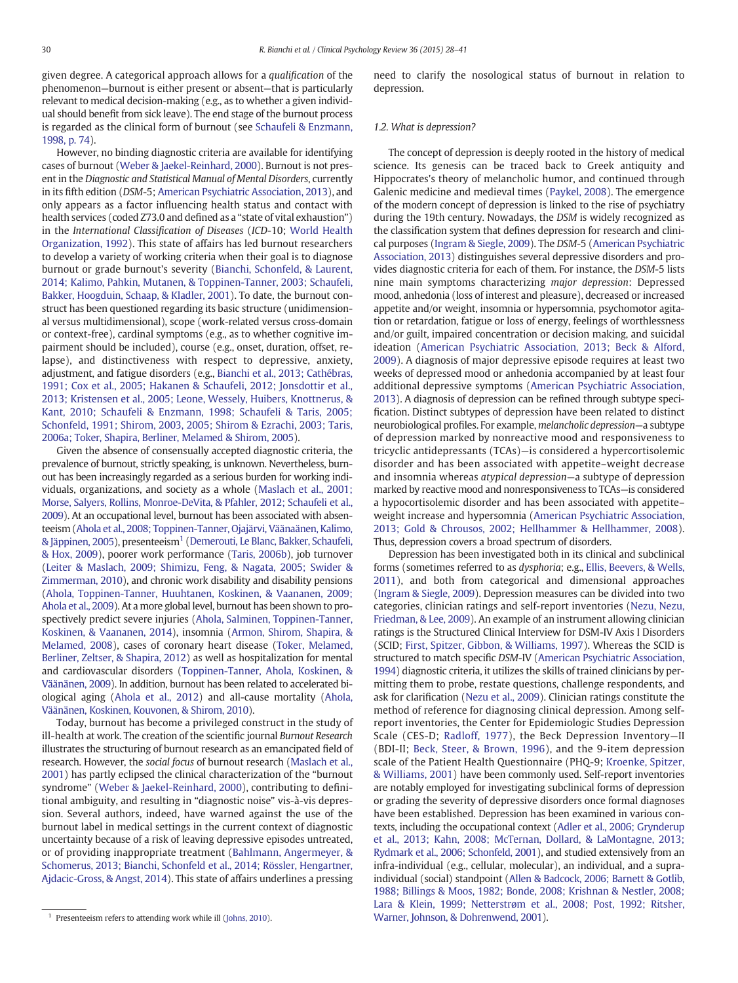given degree. A categorical approach allows for a qualification of the phenomenon—burnout is either present or absent—that is particularly relevant to medical decision-making (e.g., as to whether a given individual should benefit from sick leave). The end stage of the burnout process is regarded as the clinical form of burnout (see [Schaufeli & Enzmann,](#page-12-0) [1998, p. 74](#page-12-0)).

However, no binding diagnostic criteria are available for identifying cases of burnout ([Weber & Jaekel-Reinhard, 2000](#page-13-0)). Burnout is not present in the Diagnostic and Statistical Manual of Mental Disorders, currently in its fifth edition (DSM-5; [American Psychiatric Association, 2013\)](#page-9-0), and only appears as a factor influencing health status and contact with health services (coded Z73.0 and defined as a "state of vital exhaustion") in the International Classification of Diseases (ICD-10; [World Health](#page-13-0) [Organization, 1992](#page-13-0)). This state of affairs has led burnout researchers to develop a variety of working criteria when their goal is to diagnose burnout or grade burnout's severity ([Bianchi, Schonfeld, & Laurent,](#page-10-0) [2014; Kalimo, Pahkin, Mutanen, & Toppinen-Tanner, 2003; Schaufeli,](#page-10-0) [Bakker, Hoogduin, Schaap, & Kladler, 2001\)](#page-10-0). To date, the burnout construct has been questioned regarding its basic structure (unidimensional versus multidimensional), scope (work-related versus cross-domain or context-free), cardinal symptoms (e.g., as to whether cognitive impairment should be included), course (e.g., onset, duration, offset, relapse), and distinctiveness with respect to depressive, anxiety, adjustment, and fatigue disorders (e.g., [Bianchi et al., 2013; Cathébras,](#page-10-0) [1991; Cox et al., 2005; Hakanen & Schaufeli, 2012; Jonsdottir et al.,](#page-10-0) [2013; Kristensen et al., 2005; Leone, Wessely, Huibers, Knottnerus, &](#page-10-0) [Kant, 2010; Schaufeli & Enzmann, 1998; Schaufeli & Taris, 2005;](#page-10-0) [Schonfeld, 1991; Shirom, 2003, 2005; Shirom & Ezrachi, 2003; Taris,](#page-10-0) [2006a; Toker, Shapira, Berliner, Melamed & Shirom, 2005](#page-10-0)).

Given the absence of consensually accepted diagnostic criteria, the prevalence of burnout, strictly speaking, is unknown. Nevertheless, burnout has been increasingly regarded as a serious burden for working individuals, organizations, and society as a whole ([Maslach et al., 2001;](#page-11-0) [Morse, Salyers, Rollins, Monroe-DeVita, & Pfahler, 2012; Schaufeli et al.,](#page-11-0) [2009](#page-11-0)). At an occupational level, burnout has been associated with absenteeism ([Ahola et al., 2008; Toppinen-Tanner, Ojajärvi, Väänaänen, Kalimo,](#page-9-0) [& Jäppinen, 2005\)](#page-9-0), presenteeism<sup>1</sup> [\(Demerouti, Le Blanc, Bakker, Schaufeli,](#page-10-0) [& Hox, 2009\)](#page-10-0), poorer work performance [\(Taris, 2006b](#page-12-0)), job turnover [\(Leiter & Maslach, 2009; Shimizu, Feng, & Nagata, 2005; Swider &](#page-11-0) [Zimmerman, 2010\)](#page-11-0), and chronic work disability and disability pensions [\(Ahola, Toppinen-Tanner, Huuhtanen, Koskinen, & Vaananen, 2009;](#page-9-0) [Ahola et al., 2009\)](#page-9-0). At a more global level, burnout has been shown to prospectively predict severe injuries [\(Ahola, Salminen, Toppinen-Tanner,](#page-9-0) [Koskinen, & Vaananen, 2014\)](#page-9-0), insomnia ([Armon, Shirom, Shapira, &](#page-10-0) [Melamed, 2008\)](#page-10-0), cases of coronary heart disease [\(Toker, Melamed,](#page-12-0) [Berliner, Zeltser, & Shapira, 2012](#page-12-0)) as well as hospitalization for mental and cardiovascular disorders ([Toppinen-Tanner, Ahola, Koskinen, &](#page-13-0) [Väänänen, 2009](#page-13-0)). In addition, burnout has been related to accelerated biological aging ([Ahola et al., 2012](#page-9-0)) and all-cause mortality [\(Ahola,](#page-9-0) [Väänänen, Koskinen, Kouvonen, & Shirom, 2010](#page-9-0)).

Today, burnout has become a privileged construct in the study of ill-health at work. The creation of the scientific journal Burnout Research illustrates the structuring of burnout research as an emancipated field of research. However, the social focus of burnout research ([Maslach et al.,](#page-11-0) [2001\)](#page-11-0) has partly eclipsed the clinical characterization of the "burnout syndrome" ([Weber & Jaekel-Reinhard, 2000](#page-13-0)), contributing to definitional ambiguity, and resulting in "diagnostic noise" vis-à-vis depression. Several authors, indeed, have warned against the use of the burnout label in medical settings in the current context of diagnostic uncertainty because of a risk of leaving depressive episodes untreated, or of providing inappropriate treatment ([Bahlmann, Angermeyer, &](#page-10-0) [Schomerus, 2013; Bianchi, Schonfeld et al., 2014; Rössler, Hengartner,](#page-10-0) [Ajdacic-Gross, & Angst, 2014\)](#page-10-0). This state of affairs underlines a pressing need to clarify the nosological status of burnout in relation to depression.

# 1.2. What is depression?

The concept of depression is deeply rooted in the history of medical science. Its genesis can be traced back to Greek antiquity and Hippocrates's theory of melancholic humor, and continued through Galenic medicine and medieval times ([Paykel, 2008\)](#page-12-0). The emergence of the modern concept of depression is linked to the rise of psychiatry during the 19th century. Nowadays, the DSM is widely recognized as the classification system that defines depression for research and clinical purposes ([Ingram & Siegle, 2009\)](#page-11-0). The DSM-5 ([American Psychiatric](#page-9-0) [Association, 2013](#page-9-0)) distinguishes several depressive disorders and provides diagnostic criteria for each of them. For instance, the DSM-5 lists nine main symptoms characterizing major depression: Depressed mood, anhedonia (loss of interest and pleasure), decreased or increased appetite and/or weight, insomnia or hypersomnia, psychomotor agitation or retardation, fatigue or loss of energy, feelings of worthlessness and/or guilt, impaired concentration or decision making, and suicidal ideation ([American Psychiatric Association, 2013; Beck & Alford,](#page-9-0) [2009](#page-9-0)). A diagnosis of major depressive episode requires at least two weeks of depressed mood or anhedonia accompanied by at least four additional depressive symptoms [\(American Psychiatric Association,](#page-9-0) [2013\)](#page-9-0). A diagnosis of depression can be refined through subtype specification. Distinct subtypes of depression have been related to distinct neurobiological profiles. For example, melancholic depression—a subtype of depression marked by nonreactive mood and responsiveness to tricyclic antidepressants (TCAs)—is considered a hypercortisolemic disorder and has been associated with appetite–weight decrease and insomnia whereas atypical depression—a subtype of depression marked by reactive mood and nonresponsiveness to TCAs—is considered a hypocortisolemic disorder and has been associated with appetite– weight increase and hypersomnia ([American Psychiatric Association,](#page-9-0) [2013; Gold & Chrousos, 2002; Hellhammer & Hellhammer, 2008](#page-9-0)). Thus, depression covers a broad spectrum of disorders.

Depression has been investigated both in its clinical and subclinical forms (sometimes referred to as dysphoria; e.g., [Ellis, Beevers, & Wells,](#page-10-0) [2011](#page-10-0)), and both from categorical and dimensional approaches [\(Ingram & Siegle, 2009](#page-11-0)). Depression measures can be divided into two categories, clinician ratings and self-report inventories [\(Nezu, Nezu,](#page-12-0) [Friedman, & Lee, 2009](#page-12-0)). An example of an instrument allowing clinician ratings is the Structured Clinical Interview for DSM-IV Axis I Disorders (SCID; [First, Spitzer, Gibbon, & Williams, 1997\)](#page-10-0). Whereas the SCID is structured to match specific DSM-IV [\(American Psychiatric Association,](#page-9-0) [1994\)](#page-9-0) diagnostic criteria, it utilizes the skills of trained clinicians by permitting them to probe, restate questions, challenge respondents, and ask for clarification ([Nezu et al., 2009\)](#page-12-0). Clinician ratings constitute the method of reference for diagnosing clinical depression. Among selfreport inventories, the Center for Epidemiologic Studies Depression Scale (CES-D; [Radloff, 1977](#page-12-0)), the Beck Depression Inventory—II (BDI-II; [Beck, Steer, & Brown, 1996](#page-10-0)), and the 9-item depression scale of the Patient Health Questionnaire (PHQ-9; [Kroenke, Spitzer,](#page-11-0) [& Williams, 2001\)](#page-11-0) have been commonly used. Self-report inventories are notably employed for investigating subclinical forms of depression or grading the severity of depressive disorders once formal diagnoses have been established. Depression has been examined in various contexts, including the occupational context [\(Adler et al., 2006; Grynderup](#page-9-0) [et al., 2013; Kahn, 2008; McTernan, Dollard, & LaMontagne, 2013;](#page-9-0) [Rydmark et al., 2006; Schonfeld, 2001](#page-9-0)), and studied extensively from an infra-individual (e.g., cellular, molecular), an individual, and a supraindividual (social) standpoint [\(Allen & Badcock, 2006; Barnett & Gotlib,](#page-9-0) [1988; Billings & Moos, 1982; Bonde, 2008; Krishnan & Nestler, 2008;](#page-9-0) [Lara & Klein, 1999; Netterstrøm et al., 2008; Post, 1992; Ritsher,](#page-9-0)

<sup>&</sup>lt;sup>1</sup> Presenteeism refers to attending work while ill ([Johns, 2010](#page-11-0)). **1 [Warner, Johnson, & Dohrenwend, 2001\)](#page-9-0).**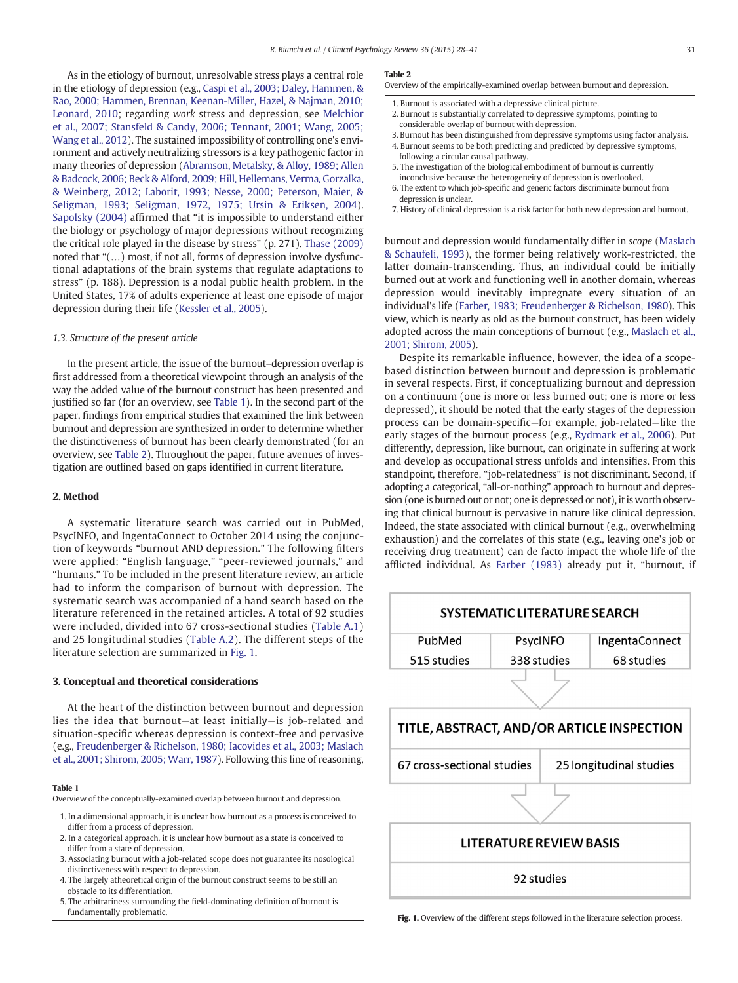<span id="page-3-0"></span>As in the etiology of burnout, unresolvable stress plays a central role in the etiology of depression (e.g., [Caspi et al., 2003; Daley, Hammen, &](#page-10-0) [Rao, 2000; Hammen, Brennan, Keenan-Miller, Hazel, & Najman, 2010;](#page-10-0) [Leonard, 2010](#page-10-0); regarding work stress and depression, see [Melchior](#page-11-0) [et al., 2007; Stansfeld & Candy, 2006; Tennant, 2001; Wang, 2005;](#page-11-0) [Wang et al., 2012\)](#page-11-0). The sustained impossibility of controlling one's environment and actively neutralizing stressors is a key pathogenic factor in many theories of depression ([Abramson, Metalsky, & Alloy, 1989; Allen](#page-9-0) [& Badcock, 2006; Beck & Alford, 2009; Hill, Hellemans, Verma, Gorzalka,](#page-9-0) [& Weinberg, 2012; Laborit, 1993; Nesse, 2000; Peterson, Maier, &](#page-9-0) [Seligman, 1993; Seligman, 1972, 1975; Ursin & Eriksen, 2004](#page-9-0)). [Sapolsky \(2004\)](#page-12-0) affirmed that "it is impossible to understand either the biology or psychology of major depressions without recognizing the critical role played in the disease by stress" (p. 271). [Thase \(2009\)](#page-12-0) noted that "(…) most, if not all, forms of depression involve dysfunctional adaptations of the brain systems that regulate adaptations to stress" (p. 188). Depression is a nodal public health problem. In the United States, 17% of adults experience at least one episode of major depression during their life [\(Kessler et al., 2005](#page-11-0)).

# 1.3. Structure of the present article

In the present article, the issue of the burnout–depression overlap is first addressed from a theoretical viewpoint through an analysis of the way the added value of the burnout construct has been presented and justified so far (for an overview, see Table 1). In the second part of the paper, findings from empirical studies that examined the link between burnout and depression are synthesized in order to determine whether the distinctiveness of burnout has been clearly demonstrated (for an overview, see Table 2). Throughout the paper, future avenues of investigation are outlined based on gaps identified in current literature.

# 2. Method

A systematic literature search was carried out in PubMed, PsycINFO, and IngentaConnect to October 2014 using the conjunction of keywords "burnout AND depression." The following filters were applied: "English language," "peer-reviewed journals," and "humans." To be included in the present literature review, an article had to inform the comparison of burnout with depression. The systematic search was accompanied of a hand search based on the literature referenced in the retained articles. A total of 92 studies were included, divided into 67 cross-sectional studies ([Table A.1](#page-7-0)) and 25 longitudinal studies ([Table A.2\)](#page-8-0). The different steps of the literature selection are summarized in Fig. 1.

# 3. Conceptual and theoretical considerations

At the heart of the distinction between burnout and depression lies the idea that burnout—at least initially—is job-related and situation-specific whereas depression is context-free and pervasive (e.g., [Freudenberger & Richelson, 1980; Iacovides et al., 2003; Maslach](#page-10-0) [et al., 2001; Shirom, 2005; Warr, 1987](#page-10-0)). Following this line of reasoning,

#### Table 1

Overview of the conceptually-examined overlap between burnout and depression.

- 1. In a dimensional approach, it is unclear how burnout as a process is conceived to differ from a process of depression.
- 2. In a categorical approach, it is unclear how burnout as a state is conceived to differ from a state of depression.
- 3. Associating burnout with a job-related scope does not guarantee its nosological distinctiveness with respect to depression.
- 4. The largely atheoretical origin of the burnout construct seems to be still an obstacle to its differentiation.
- 5. The arbitrariness surrounding the field-dominating definition of burnout is fundamentally problematic.

# Table 2

Overview of the empirically-examined overlap between burnout and depression.

- 1. Burnout is associated with a depressive clinical picture.
- 2. Burnout is substantially correlated to depressive symptoms, pointing to considerable overlap of burnout with depression.
- 3. Burnout has been distinguished from depressive symptoms using factor analysis. 4. Burnout seems to be both predicting and predicted by depressive symptoms,
- following a circular causal pathway. 5. The investigation of the biological embodiment of burnout is currently inconclusive because the heterogeneity of depression is overlooked.
- 6. The extent to which job-specific and generic factors discriminate burnout from depression is unclear.
- 7. History of clinical depression is a risk factor for both new depression and burnout.

burnout and depression would fundamentally differ in scope [\(Maslach](#page-11-0) [& Schaufeli, 1993](#page-11-0)), the former being relatively work-restricted, the latter domain-transcending. Thus, an individual could be initially burned out at work and functioning well in another domain, whereas depression would inevitably impregnate every situation of an individual's life ([Farber, 1983; Freudenberger & Richelson, 1980](#page-10-0)). This view, which is nearly as old as the burnout construct, has been widely adopted across the main conceptions of burnout (e.g., [Maslach et al.,](#page-11-0) [2001; Shirom, 2005\)](#page-11-0).

Despite its remarkable influence, however, the idea of a scopebased distinction between burnout and depression is problematic in several respects. First, if conceptualizing burnout and depression on a continuum (one is more or less burned out; one is more or less depressed), it should be noted that the early stages of the depression process can be domain-specific—for example, job-related—like the early stages of the burnout process (e.g., [Rydmark et al., 2006](#page-12-0)). Put differently, depression, like burnout, can originate in suffering at work and develop as occupational stress unfolds and intensifies. From this standpoint, therefore, "job-relatedness" is not discriminant. Second, if adopting a categorical, "all-or-nothing" approach to burnout and depression (one is burned out or not; one is depressed or not), it is worth observing that clinical burnout is pervasive in nature like clinical depression. Indeed, the state associated with clinical burnout (e.g., overwhelming exhaustion) and the correlates of this state (e.g., leaving one's job or receiving drug treatment) can de facto impact the whole life of the afflicted individual. As [Farber \(1983\)](#page-10-0) already put it, "burnout, if



Fig. 1. Overview of the different steps followed in the literature selection process.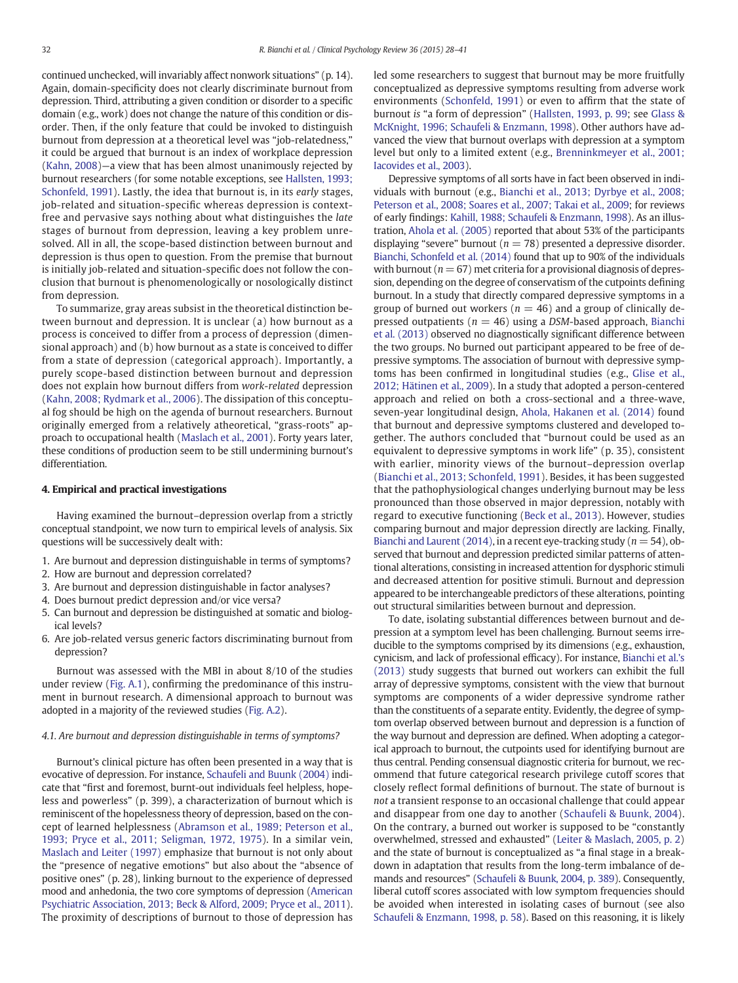continued unchecked, will invariably affect nonwork situations" (p. 14). Again, domain-specificity does not clearly discriminate burnout from depression. Third, attributing a given condition or disorder to a specific domain (e.g., work) does not change the nature of this condition or disorder. Then, if the only feature that could be invoked to distinguish burnout from depression at a theoretical level was "job-relatedness," it could be argued that burnout is an index of workplace depression [\(Kahn, 2008\)](#page-11-0)—a view that has been almost unanimously rejected by burnout researchers (for some notable exceptions, see [Hallsten, 1993;](#page-11-0) [Schonfeld, 1991](#page-11-0)). Lastly, the idea that burnout is, in its early stages, job-related and situation-specific whereas depression is contextfree and pervasive says nothing about what distinguishes the late stages of burnout from depression, leaving a key problem unresolved. All in all, the scope-based distinction between burnout and depression is thus open to question. From the premise that burnout is initially job-related and situation-specific does not follow the conclusion that burnout is phenomenologically or nosologically distinct from depression.

To summarize, gray areas subsist in the theoretical distinction between burnout and depression. It is unclear (a) how burnout as a process is conceived to differ from a process of depression (dimensional approach) and (b) how burnout as a state is conceived to differ from a state of depression (categorical approach). Importantly, a purely scope-based distinction between burnout and depression does not explain how burnout differs from work-related depression [\(Kahn, 2008; Rydmark et al., 2006](#page-11-0)). The dissipation of this conceptual fog should be high on the agenda of burnout researchers. Burnout originally emerged from a relatively atheoretical, "grass-roots" approach to occupational health [\(Maslach et al., 2001](#page-11-0)). Forty years later, these conditions of production seem to be still undermining burnout's differentiation.

### 4. Empirical and practical investigations

Having examined the burnout–depression overlap from a strictly conceptual standpoint, we now turn to empirical levels of analysis. Six questions will be successively dealt with:

- 1. Are burnout and depression distinguishable in terms of symptoms?
- 2. How are burnout and depression correlated?
- 3. Are burnout and depression distinguishable in factor analyses?
- 4. Does burnout predict depression and/or vice versa?
- 5. Can burnout and depression be distinguished at somatic and biological levels?
- 6. Are job-related versus generic factors discriminating burnout from depression?

Burnout was assessed with the MBI in about 8/10 of the studies under review ([Fig. A.1](#page-9-0)), confirming the predominance of this instrument in burnout research. A dimensional approach to burnout was adopted in a majority of the reviewed studies ([Fig. A.2](#page-9-0)).

# 4.1. Are burnout and depression distinguishable in terms of symptoms?

Burnout's clinical picture has often been presented in a way that is evocative of depression. For instance, [Schaufeli and Buunk \(2004\)](#page-12-0) indicate that "first and foremost, burnt-out individuals feel helpless, hopeless and powerless" (p. 399), a characterization of burnout which is reminiscent of the hopelessness theory of depression, based on the concept of learned helplessness [\(Abramson et al., 1989; Peterson et al.,](#page-9-0) [1993; Pryce et al., 2011; Seligman, 1972, 1975\)](#page-9-0). In a similar vein, [Maslach and Leiter \(1997\)](#page-11-0) emphasize that burnout is not only about the "presence of negative emotions" but also about the "absence of positive ones" (p. 28), linking burnout to the experience of depressed mood and anhedonia, the two core symptoms of depression [\(American](#page-9-0) [Psychiatric Association, 2013; Beck & Alford, 2009; Pryce et al., 2011](#page-9-0)). The proximity of descriptions of burnout to those of depression has

led some researchers to suggest that burnout may be more fruitfully conceptualized as depressive symptoms resulting from adverse work environments ([Schonfeld, 1991](#page-12-0)) or even to affirm that the state of burnout is "a form of depression" ([Hallsten, 1993, p. 99](#page-11-0); see [Glass &](#page-10-0) [McKnight, 1996; Schaufeli & Enzmann, 1998\)](#page-10-0). Other authors have advanced the view that burnout overlaps with depression at a symptom level but only to a limited extent (e.g., [Brenninkmeyer et al., 2001;](#page-10-0) [Iacovides et al., 2003](#page-10-0)).

Depressive symptoms of all sorts have in fact been observed in individuals with burnout (e.g., [Bianchi et al., 2013; Dyrbye et al., 2008;](#page-10-0) [Peterson et al., 2008; Soares et al., 2007; Takai et al., 2009;](#page-10-0) for reviews of early findings: [Kahill, 1988; Schaufeli & Enzmann, 1998](#page-11-0)). As an illustration, [Ahola et al. \(2005\)](#page-9-0) reported that about 53% of the participants displaying "severe" burnout ( $n = 78$ ) presented a depressive disorder. [Bianchi, Schonfeld et al. \(2014\)](#page-10-0) found that up to 90% of the individuals with burnout ( $n = 67$ ) met criteria for a provisional diagnosis of depression, depending on the degree of conservatism of the cutpoints defining burnout. In a study that directly compared depressive symptoms in a group of burned out workers ( $n = 46$ ) and a group of clinically depressed outpatients ( $n = 46$ ) using a DSM-based approach, [Bianchi](#page-10-0) [et al. \(2013\)](#page-10-0) observed no diagnostically significant difference between the two groups. No burned out participant appeared to be free of depressive symptoms. The association of burnout with depressive symptoms has been confirmed in longitudinal studies (e.g., [Glise et al.,](#page-10-0) [2012; Hätinen et al., 2009](#page-10-0)). In a study that adopted a person-centered approach and relied on both a cross-sectional and a three-wave, seven-year longitudinal design, [Ahola, Hakanen et al. \(2014\)](#page-9-0) found that burnout and depressive symptoms clustered and developed together. The authors concluded that "burnout could be used as an equivalent to depressive symptoms in work life" (p. 35), consistent with earlier, minority views of the burnout–depression overlap [\(Bianchi et al., 2013; Schonfeld, 1991\)](#page-10-0). Besides, it has been suggested that the pathophysiological changes underlying burnout may be less pronounced than those observed in major depression, notably with regard to executive functioning [\(Beck et al., 2013](#page-10-0)). However, studies comparing burnout and major depression directly are lacking. Finally, [Bianchi and Laurent \(2014\),](#page-10-0) in a recent eye-tracking study ( $n = 54$ ), observed that burnout and depression predicted similar patterns of attentional alterations, consisting in increased attention for dysphoric stimuli and decreased attention for positive stimuli. Burnout and depression appeared to be interchangeable predictors of these alterations, pointing out structural similarities between burnout and depression.

To date, isolating substantial differences between burnout and depression at a symptom level has been challenging. Burnout seems irreducible to the symptoms comprised by its dimensions (e.g., exhaustion, cynicism, and lack of professional efficacy). For instance, [Bianchi et al.'s](#page-10-0) [\(2013\)](#page-10-0) study suggests that burned out workers can exhibit the full array of depressive symptoms, consistent with the view that burnout symptoms are components of a wider depressive syndrome rather than the constituents of a separate entity. Evidently, the degree of symptom overlap observed between burnout and depression is a function of the way burnout and depression are defined. When adopting a categorical approach to burnout, the cutpoints used for identifying burnout are thus central. Pending consensual diagnostic criteria for burnout, we recommend that future categorical research privilege cutoff scores that closely reflect formal definitions of burnout. The state of burnout is not a transient response to an occasional challenge that could appear and disappear from one day to another [\(Schaufeli & Buunk, 2004](#page-12-0)). On the contrary, a burned out worker is supposed to be "constantly overwhelmed, stressed and exhausted" ([Leiter & Maslach, 2005, p. 2](#page-11-0)) and the state of burnout is conceptualized as "a final stage in a breakdown in adaptation that results from the long-term imbalance of demands and resources" [\(Schaufeli & Buunk, 2004, p. 389\)](#page-12-0). Consequently, liberal cutoff scores associated with low symptom frequencies should be avoided when interested in isolating cases of burnout (see also [Schaufeli & Enzmann, 1998, p. 58](#page-12-0)). Based on this reasoning, it is likely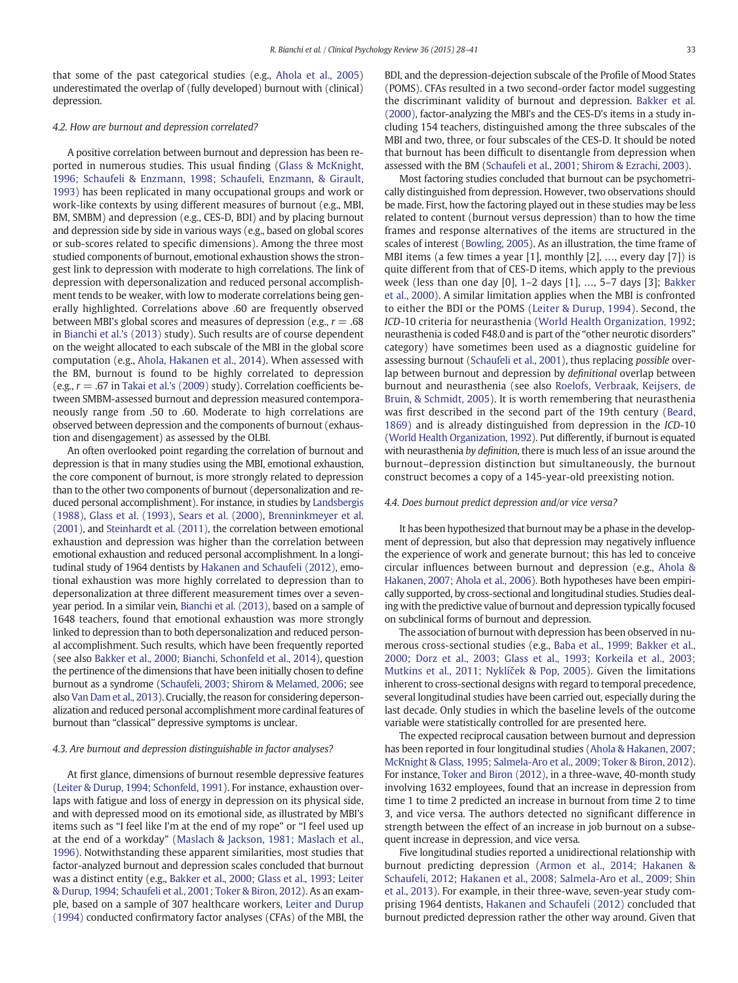that some of the past categorical studies (e.g., [Ahola et al., 2005](#page-9-0)) underestimated the overlap of (fully developed) burnout with (clinical) depression.

### 4.2. How are burnout and depression correlated?

A positive correlation between burnout and depression has been reported in numerous studies. This usual finding [\(Glass & McKnight,](#page-10-0) [1996; Schaufeli & Enzmann, 1998; Schaufeli, Enzmann, & Girault,](#page-10-0) [1993\)](#page-10-0) has been replicated in many occupational groups and work or work-like contexts by using different measures of burnout (e.g., MBI, BM, SMBM) and depression (e.g., CES-D, BDI) and by placing burnout and depression side by side in various ways (e.g., based on global scores or sub-scores related to specific dimensions). Among the three most studied components of burnout, emotional exhaustion shows the strongest link to depression with moderate to high correlations. The link of depression with depersonalization and reduced personal accomplishment tends to be weaker, with low to moderate correlations being generally highlighted. Correlations above .60 are frequently observed between MBI's global scores and measures of depression (e.g.,  $r = .68$ ) in [Bianchi et al.'s \(2013\)](#page-10-0) study). Such results are of course dependent on the weight allocated to each subscale of the MBI in the global score computation (e.g., [Ahola, Hakanen et al., 2014](#page-9-0)). When assessed with the BM, burnout is found to be highly correlated to depression (e.g.,  $r = .67$  in [Takai et al.'s \(2009\)](#page-12-0) study). Correlation coefficients between SMBM-assessed burnout and depression measured contemporaneously range from .50 to .60. Moderate to high correlations are observed between depression and the components of burnout (exhaustion and disengagement) as assessed by the OLBI.

An often overlooked point regarding the correlation of burnout and depression is that in many studies using the MBI, emotional exhaustion, the core component of burnout, is more strongly related to depression than to the other two components of burnout (depersonalization and reduced personal accomplishment). For instance, in studies by [Landsbergis](#page-11-0) [\(1988\),](#page-11-0) [Glass et al. \(1993\),](#page-10-0) [Sears et al. \(2000\)](#page-12-0), [Brenninkmeyer et al.](#page-10-0) [\(2001\),](#page-10-0) and [Steinhardt et al. \(2011\),](#page-12-0) the correlation between emotional exhaustion and depression was higher than the correlation between emotional exhaustion and reduced personal accomplishment. In a longitudinal study of 1964 dentists by [Hakanen and Schaufeli \(2012\),](#page-11-0) emotional exhaustion was more highly correlated to depression than to depersonalization at three different measurement times over a sevenyear period. In a similar vein, [Bianchi et al. \(2013\)](#page-10-0), based on a sample of 1648 teachers, found that emotional exhaustion was more strongly linked to depression than to both depersonalization and reduced personal accomplishment. Such results, which have been frequently reported (see also [Bakker et al., 2000; Bianchi, Schonfeld et al., 2014\)](#page-10-0), question the pertinence of the dimensions that have been initially chosen to define burnout as a syndrome ([Schaufeli, 2003; Shirom & Melamed, 2006](#page-12-0); see also [Van Dam et al., 2013](#page-13-0)). Crucially, the reason for considering depersonalization and reduced personal accomplishment more cardinal features of burnout than "classical" depressive symptoms is unclear.

#### 4.3. Are burnout and depression distinguishable in factor analyses?

At first glance, dimensions of burnout resemble depressive features [\(Leiter & Durup, 1994; Schonfeld, 1991](#page-11-0)). For instance, exhaustion overlaps with fatigue and loss of energy in depression on its physical side, and with depressed mood on its emotional side, as illustrated by MBI's items such as "I feel like I'm at the end of my rope" or "I feel used up at the end of a workday" ([Maslach & Jackson, 1981; Maslach et al.,](#page-11-0) [1996\)](#page-11-0). Notwithstanding these apparent similarities, most studies that factor-analyzed burnout and depression scales concluded that burnout was a distinct entity (e.g., [Bakker et al., 2000; Glass et al., 1993; Leiter](#page-10-0) [& Durup, 1994; Schaufeli et al., 2001; Toker & Biron, 2012](#page-10-0)). As an example, based on a sample of 307 healthcare workers, [Leiter and Durup](#page-11-0) [\(1994\)](#page-11-0) conducted confirmatory factor analyses (CFAs) of the MBI, the BDI, and the depression-dejection subscale of the Profile of Mood States (POMS). CFAs resulted in a two second-order factor model suggesting the discriminant validity of burnout and depression. [Bakker et al.](#page-10-0) [\(2000\)](#page-10-0), factor-analyzing the MBI's and the CES-D's items in a study including 154 teachers, distinguished among the three subscales of the MBI and two, three, or four subscales of the CES-D. It should be noted that burnout has been difficult to disentangle from depression when assessed with the BM ([Schaufeli et al., 2001; Shirom & Ezrachi, 2003\)](#page-12-0).

Most factoring studies concluded that burnout can be psychometrically distinguished from depression. However, two observations should be made. First, how the factoring played out in these studies may be less related to content (burnout versus depression) than to how the time frames and response alternatives of the items are structured in the scales of interest ([Bowling, 2005\)](#page-10-0). As an illustration, the time frame of MBI items (a few times a year [1], monthly [2], ..., every day [7]) is quite different from that of CES-D items, which apply to the previous week (less than one day [0], 1–2 days [1], …, 5–7 days [3]; [Bakker](#page-10-0) [et al., 2000\)](#page-10-0). A similar limitation applies when the MBI is confronted to either the BDI or the POMS ([Leiter & Durup, 1994\)](#page-11-0). Second, the ICD-10 criteria for neurasthenia ([World Health Organization, 1992;](#page-13-0) neurasthenia is coded F48.0 and is part of the "other neurotic disorders" category) have sometimes been used as a diagnostic guideline for assessing burnout [\(Schaufeli et al., 2001](#page-12-0)), thus replacing possible overlap between burnout and depression by definitional overlap between burnout and neurasthenia (see also [Roelofs, Verbraak, Keijsers, de](#page-12-0) [Bruin, & Schmidt, 2005](#page-12-0)). It is worth remembering that neurasthenia was first described in the second part of the 19th century ([Beard,](#page-10-0) [1869\)](#page-10-0) and is already distinguished from depression in the ICD-10 [\(World Health Organization, 1992](#page-13-0)). Put differently, if burnout is equated with neurasthenia by definition, there is much less of an issue around the burnout–depression distinction but simultaneously, the burnout construct becomes a copy of a 145-year-old preexisting notion.

# 4.4. Does burnout predict depression and/or vice versa?

It has been hypothesized that burnout may be a phase in the development of depression, but also that depression may negatively influence the experience of work and generate burnout; this has led to conceive circular influences between burnout and depression (e.g., [Ahola &](#page-9-0) [Hakanen, 2007; Ahola et al., 2006\)](#page-9-0). Both hypotheses have been empirically supported, by cross-sectional and longitudinal studies. Studies dealing with the predictive value of burnout and depression typically focused on subclinical forms of burnout and depression.

The association of burnout with depression has been observed in numerous cross-sectional studies (e.g., [Baba et al., 1999; Bakker et al.,](#page-10-0) [2000; Dorz et al., 2003; Glass et al., 1993; Korkeila et al., 2003;](#page-10-0) [Mutkins et al., 2011; Nyklí](#page-10-0)ček & Pop, 2005). Given the limitations inherent to cross-sectional designs with regard to temporal precedence, several longitudinal studies have been carried out, especially during the last decade. Only studies in which the baseline levels of the outcome variable were statistically controlled for are presented here.

The expected reciprocal causation between burnout and depression has been reported in four longitudinal studies ([Ahola & Hakanen, 2007;](#page-9-0) [McKnight & Glass, 1995; Salmela-Aro et al., 2009; Toker & Biron, 2012](#page-9-0)). For instance, [Toker and Biron \(2012\),](#page-12-0) in a three-wave, 40-month study involving 1632 employees, found that an increase in depression from time 1 to time 2 predicted an increase in burnout from time 2 to time 3, and vice versa. The authors detected no significant difference in strength between the effect of an increase in job burnout on a subsequent increase in depression, and vice versa.

Five longitudinal studies reported a unidirectional relationship with burnout predicting depression ([Armon et al., 2014; Hakanen &](#page-9-0) [Schaufeli, 2012; Hakanen et al., 2008; Salmela-Aro et al., 2009; Shin](#page-9-0) [et al., 2013\)](#page-9-0). For example, in their three-wave, seven-year study comprising 1964 dentists, [Hakanen and Schaufeli \(2012\)](#page-11-0) concluded that burnout predicted depression rather the other way around. Given that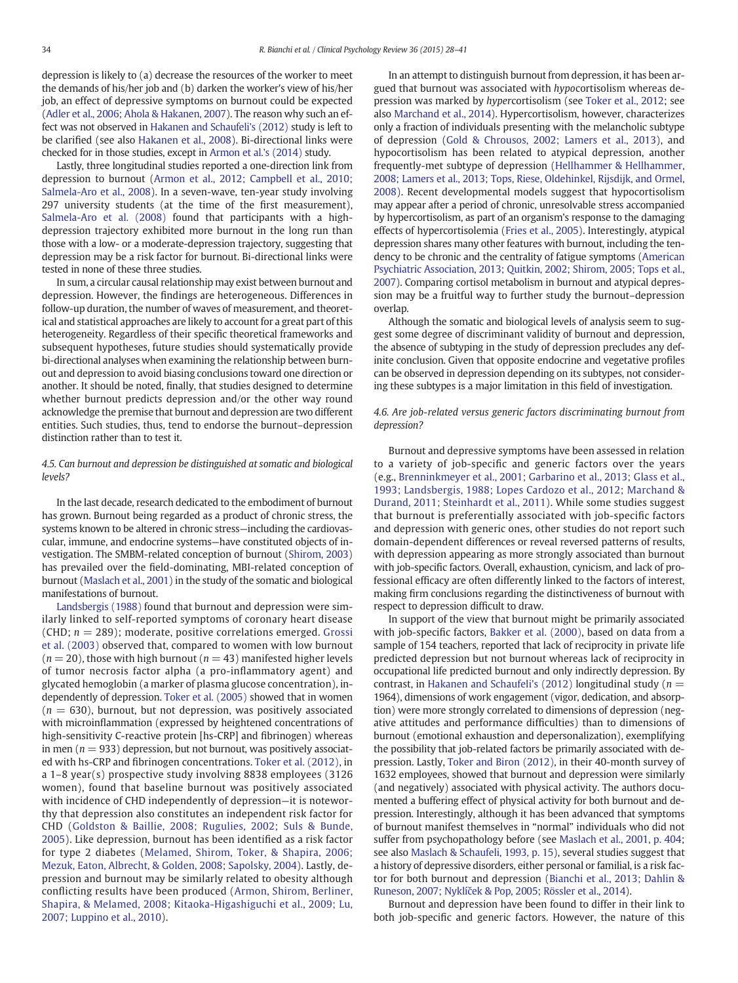depression is likely to (a) decrease the resources of the worker to meet the demands of his/her job and (b) darken the worker's view of his/her job, an effect of depressive symptoms on burnout could be expected [\(Adler et al., 2006; Ahola & Hakanen, 2007](#page-9-0)). The reason why such an effect was not observed in [Hakanen and Schaufeli's \(2012\)](#page-11-0) study is left to be clarified (see also [Hakanen et al., 2008\)](#page-11-0). Bi-directional links were checked for in those studies, except in [Armon et al.'s \(2014\)](#page-9-0) study.

Lastly, three longitudinal studies reported a one-direction link from depression to burnout [\(Armon et al., 2012; Campbell et al., 2010;](#page-10-0) [Salmela-Aro et al., 2008\)](#page-10-0). In a seven-wave, ten-year study involving 297 university students (at the time of the first measurement), [Salmela-Aro et al. \(2008\)](#page-12-0) found that participants with a highdepression trajectory exhibited more burnout in the long run than those with a low- or a moderate-depression trajectory, suggesting that depression may be a risk factor for burnout. Bi-directional links were tested in none of these three studies.

In sum, a circular causal relationship may exist between burnout and depression. However, the findings are heterogeneous. Differences in follow-up duration, the number of waves of measurement, and theoretical and statistical approaches are likely to account for a great part of this heterogeneity. Regardless of their specific theoretical frameworks and subsequent hypotheses, future studies should systematically provide bi-directional analyses when examining the relationship between burnout and depression to avoid biasing conclusions toward one direction or another. It should be noted, finally, that studies designed to determine whether burnout predicts depression and/or the other way round acknowledge the premise that burnout and depression are two different entities. Such studies, thus, tend to endorse the burnout–depression distinction rather than to test it.

# 4.5. Can burnout and depression be distinguished at somatic and biological levels?

In the last decade, research dedicated to the embodiment of burnout has grown. Burnout being regarded as a product of chronic stress, the systems known to be altered in chronic stress—including the cardiovascular, immune, and endocrine systems—have constituted objects of investigation. The SMBM-related conception of burnout [\(Shirom, 2003](#page-12-0)) has prevailed over the field-dominating, MBI-related conception of burnout ([Maslach et al., 2001](#page-11-0)) in the study of the somatic and biological manifestations of burnout.

[Landsbergis \(1988\)](#page-11-0) found that burnout and depression were similarly linked to self-reported symptoms of coronary heart disease (CHD;  $n = 289$ ); moderate, positive correlations emerged. [Grossi](#page-10-0) [et al. \(2003\)](#page-10-0) observed that, compared to women with low burnout  $(n = 20)$ , those with high burnout  $(n = 43)$  manifested higher levels of tumor necrosis factor alpha (a pro-inflammatory agent) and glycated hemoglobin (a marker of plasma glucose concentration), independently of depression. [Toker et al. \(2005\)](#page-12-0) showed that in women  $(n = 630)$ , burnout, but not depression, was positively associated with microinflammation (expressed by heightened concentrations of high-sensitivity C-reactive protein [hs-CRP] and fibrinogen) whereas in men ( $n = 933$ ) depression, but not burnout, was positively associated with hs-CRP and fibrinogen concentrations. [Toker et al. \(2012\),](#page-12-0) in a 1–8 year(s) prospective study involving 8838 employees (3126 women), found that baseline burnout was positively associated with incidence of CHD independently of depression—it is noteworthy that depression also constitutes an independent risk factor for CHD ([Goldston & Baillie, 2008; Rugulies, 2002; Suls & Bunde,](#page-10-0) [2005\)](#page-10-0). Like depression, burnout has been identified as a risk factor for type 2 diabetes ([Melamed, Shirom, Toker, & Shapira, 2006;](#page-11-0) [Mezuk, Eaton, Albrecht, & Golden, 2008; Sapolsky, 2004\)](#page-11-0). Lastly, depression and burnout may be similarly related to obesity although conflicting results have been produced [\(Armon, Shirom, Berliner,](#page-9-0) [Shapira, & Melamed, 2008; Kitaoka-Higashiguchi et al., 2009; Lu,](#page-9-0) [2007; Luppino et al., 2010](#page-9-0)).

In an attempt to distinguish burnout from depression, it has been argued that burnout was associated with hypocortisolism whereas depression was marked by hypercortisolism (see [Toker et al., 2012;](#page-12-0) see also [Marchand et al., 2014](#page-11-0)). Hypercortisolism, however, characterizes only a fraction of individuals presenting with the melancholic subtype of depression [\(Gold & Chrousos, 2002; Lamers et al., 2013\)](#page-10-0), and hypocortisolism has been related to atypical depression, another frequently-met subtype of depression [\(Hellhammer & Hellhammer,](#page-11-0) [2008; Lamers et al., 2013; Tops, Riese, Oldehinkel, Rijsdijk, and Ormel,](#page-11-0) [2008](#page-11-0)). Recent developmental models suggest that hypocortisolism may appear after a period of chronic, unresolvable stress accompanied by hypercortisolism, as part of an organism's response to the damaging effects of hypercortisolemia [\(Fries et al., 2005](#page-10-0)). Interestingly, atypical depression shares many other features with burnout, including the tendency to be chronic and the centrality of fatigue symptoms [\(American](#page-9-0) [Psychiatric Association, 2013; Quitkin, 2002; Shirom, 2005; Tops et al.,](#page-9-0) [2007\)](#page-9-0). Comparing cortisol metabolism in burnout and atypical depression may be a fruitful way to further study the burnout–depression overlap.

Although the somatic and biological levels of analysis seem to suggest some degree of discriminant validity of burnout and depression, the absence of subtyping in the study of depression precludes any definite conclusion. Given that opposite endocrine and vegetative profiles can be observed in depression depending on its subtypes, not considering these subtypes is a major limitation in this field of investigation.

# 4.6. Are job-related versus generic factors discriminating burnout from depression?

Burnout and depressive symptoms have been assessed in relation to a variety of job-specific and generic factors over the years (e.g., [Brenninkmeyer et al., 2001; Garbarino et al., 2013; Glass et al.,](#page-10-0) [1993; Landsbergis, 1988; Lopes Cardozo et al., 2012; Marchand &](#page-10-0) [Durand, 2011; Steinhardt et al., 2011\)](#page-10-0). While some studies suggest that burnout is preferentially associated with job-specific factors and depression with generic ones, other studies do not report such domain-dependent differences or reveal reversed patterns of results, with depression appearing as more strongly associated than burnout with job-specific factors. Overall, exhaustion, cynicism, and lack of professional efficacy are often differently linked to the factors of interest, making firm conclusions regarding the distinctiveness of burnout with respect to depression difficult to draw.

In support of the view that burnout might be primarily associated with job-specific factors, [Bakker et al. \(2000\),](#page-10-0) based on data from a sample of 154 teachers, reported that lack of reciprocity in private life predicted depression but not burnout whereas lack of reciprocity in occupational life predicted burnout and only indirectly depression. By contrast, in [Hakanen and Schaufeli's \(2012\)](#page-11-0) longitudinal study ( $n =$ 1964), dimensions of work engagement (vigor, dedication, and absorption) were more strongly correlated to dimensions of depression (negative attitudes and performance difficulties) than to dimensions of burnout (emotional exhaustion and depersonalization), exemplifying the possibility that job-related factors be primarily associated with depression. Lastly, [Toker and Biron \(2012\)](#page-12-0), in their 40-month survey of 1632 employees, showed that burnout and depression were similarly (and negatively) associated with physical activity. The authors documented a buffering effect of physical activity for both burnout and depression. Interestingly, although it has been advanced that symptoms of burnout manifest themselves in "normal" individuals who did not suffer from psychopathology before (see [Maslach et al., 2001, p. 404](#page-11-0); see also [Maslach & Schaufeli, 1993, p. 15\)](#page-11-0), several studies suggest that a history of depressive disorders, either personal or familial, is a risk factor for both burnout and depression ([Bianchi et al., 2013; Dahlin &](#page-10-0) Runeson, 2007; Nyklíč[ek & Pop, 2005; Rössler et al., 2014\)](#page-10-0).

Burnout and depression have been found to differ in their link to both job-specific and generic factors. However, the nature of this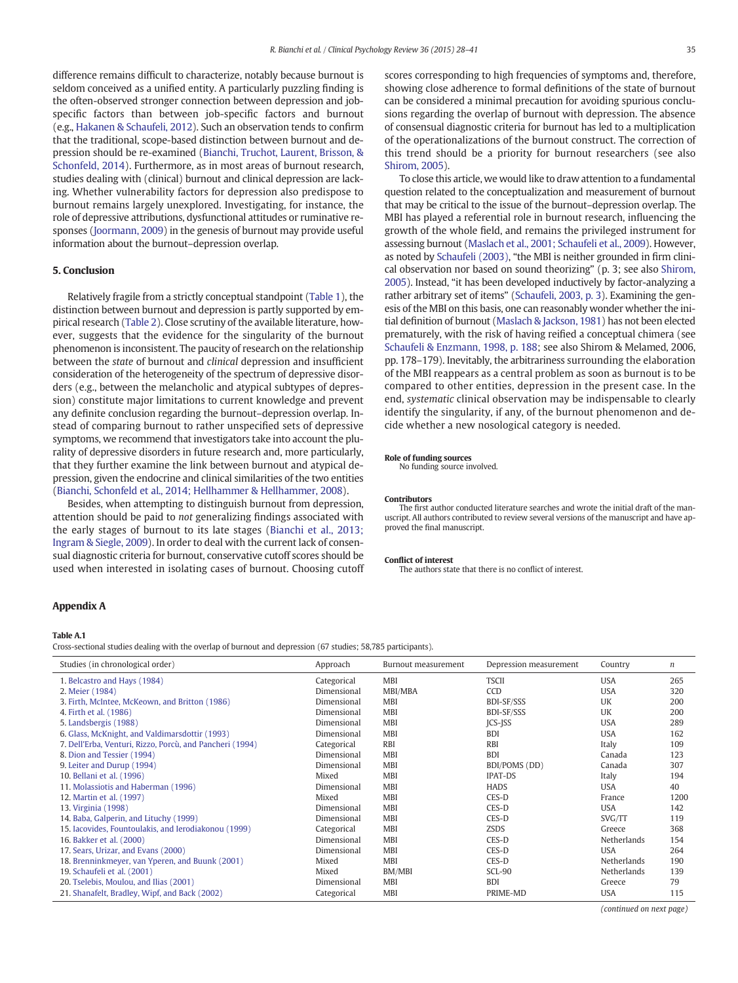<span id="page-7-0"></span>difference remains difficult to characterize, notably because burnout is seldom conceived as a unified entity. A particularly puzzling finding is the often-observed stronger connection between depression and jobspecific factors than between job-specific factors and burnout (e.g., [Hakanen & Schaufeli, 2012](#page-11-0)). Such an observation tends to confirm that the traditional, scope-based distinction between burnout and depression should be re-examined [\(Bianchi, Truchot, Laurent, Brisson, &](#page-10-0) [Schonfeld, 2014\)](#page-10-0). Furthermore, as in most areas of burnout research, studies dealing with (clinical) burnout and clinical depression are lacking. Whether vulnerability factors for depression also predispose to burnout remains largely unexplored. Investigating, for instance, the role of depressive attributions, dysfunctional attitudes or ruminative responses ([Joormann, 2009\)](#page-11-0) in the genesis of burnout may provide useful information about the burnout–depression overlap.

# 5. Conclusion

Relatively fragile from a strictly conceptual standpoint ([Table 1](#page-3-0)), the distinction between burnout and depression is partly supported by empirical research [\(Table 2](#page-3-0)). Close scrutiny of the available literature, however, suggests that the evidence for the singularity of the burnout phenomenon is inconsistent. The paucity of research on the relationship between the state of burnout and clinical depression and insufficient consideration of the heterogeneity of the spectrum of depressive disorders (e.g., between the melancholic and atypical subtypes of depression) constitute major limitations to current knowledge and prevent any definite conclusion regarding the burnout–depression overlap. Instead of comparing burnout to rather unspecified sets of depressive symptoms, we recommend that investigators take into account the plurality of depressive disorders in future research and, more particularly, that they further examine the link between burnout and atypical depression, given the endocrine and clinical similarities of the two entities [\(Bianchi, Schonfeld et al., 2014; Hellhammer & Hellhammer, 2008](#page-10-0)).

Besides, when attempting to distinguish burnout from depression, attention should be paid to not generalizing findings associated with the early stages of burnout to its late stages [\(Bianchi et al., 2013;](#page-10-0) [Ingram & Siegle, 2009](#page-10-0)). In order to deal with the current lack of consensual diagnostic criteria for burnout, conservative cutoff scores should be used when interested in isolating cases of burnout. Choosing cutoff scores corresponding to high frequencies of symptoms and, therefore, showing close adherence to formal definitions of the state of burnout can be considered a minimal precaution for avoiding spurious conclusions regarding the overlap of burnout with depression. The absence of consensual diagnostic criteria for burnout has led to a multiplication of the operationalizations of the burnout construct. The correction of this trend should be a priority for burnout researchers (see also [Shirom, 2005](#page-12-0)).

To close this article, we would like to draw attention to a fundamental question related to the conceptualization and measurement of burnout that may be critical to the issue of the burnout–depression overlap. The MBI has played a referential role in burnout research, influencing the growth of the whole field, and remains the privileged instrument for assessing burnout [\(Maslach et al., 2001; Schaufeli et al., 2009](#page-11-0)). However, as noted by [Schaufeli \(2003\),](#page-12-0) "the MBI is neither grounded in firm clinical observation nor based on sound theorizing" (p. 3; see also [Shirom,](#page-12-0) [2005](#page-12-0)). Instead, "it has been developed inductively by factor-analyzing a rather arbitrary set of items" [\(Schaufeli, 2003, p. 3](#page-12-0)). Examining the genesis of the MBI on this basis, one can reasonably wonder whether the initial definition of burnout ([Maslach & Jackson, 1981\)](#page-11-0) has not been elected prematurely, with the risk of having reified a conceptual chimera (see [Schaufeli & Enzmann, 1998, p. 188;](#page-12-0) see also Shirom & Melamed, 2006, pp. 178–179). Inevitably, the arbitrariness surrounding the elaboration of the MBI reappears as a central problem as soon as burnout is to be compared to other entities, depression in the present case. In the end, systematic clinical observation may be indispensable to clearly identify the singularity, if any, of the burnout phenomenon and decide whether a new nosological category is needed.

# Role of funding sources

No funding source involved.

#### Contributors

The first author conducted literature searches and wrote the initial draft of the manuscript. All authors contributed to review several versions of the manuscript and have approved the final manuscript.

#### Conflict of interest

The authors state that there is no conflict of interest.

# Appendix A

#### Table A.1

Cross-sectional studies dealing with the overlap of burnout and depression (67 studies; 58,785 participants).

| Studies (in chronological order)                         | Approach    | Burnout measurement | Depression measurement | Country     | $\boldsymbol{n}$ |
|----------------------------------------------------------|-------------|---------------------|------------------------|-------------|------------------|
| 1. Belcastro and Hays (1984)                             | Categorical | MBI                 | <b>TSCII</b>           | <b>USA</b>  | 265              |
| 2. Meier (1984)                                          | Dimensional | MBI/MBA             | CCD                    | <b>USA</b>  | 320              |
| 3. Firth, McIntee, McKeown, and Britton (1986)           | Dimensional | <b>MBI</b>          | <b>BDI-SF/SSS</b>      | UK          | 200              |
| 4. Firth et al. (1986)                                   | Dimensional | MBI                 | <b>BDI-SF/SSS</b>      | UK          | 200              |
| 5. Landsbergis (1988)                                    | Dimensional | <b>MBI</b>          | $ CS- SS $             | <b>USA</b>  | 289              |
| 6. Glass, McKnight, and Valdimarsdottir (1993)           | Dimensional | <b>MBI</b>          | <b>BDI</b>             | <b>USA</b>  | 162              |
| 7. Dell'Erba, Venturi, Rizzo, Porcù, and Pancheri (1994) | Categorical | <b>RBI</b>          | <b>RBI</b>             | Italy       | 109              |
| 8. Dion and Tessier (1994)                               | Dimensional | <b>MBI</b>          | <b>BDI</b>             | Canada      | 123              |
| 9. Leiter and Durup (1994)                               | Dimensional | <b>MBI</b>          | BDI/POMS (DD)          | Canada      | 307              |
| 10. Bellani et al. (1996)                                | Mixed       | <b>MBI</b>          | <b>IPAT-DS</b>         | Italy       | 194              |
| 11. Molassiotis and Haberman (1996)                      | Dimensional | <b>MBI</b>          | <b>HADS</b>            | <b>USA</b>  | 40               |
| 12. Martin et al. (1997)                                 | Mixed       | <b>MBI</b>          | CES-D                  | France      | 1200             |
| 13. Virginia (1998)                                      | Dimensional | <b>MBI</b>          | CES-D                  | <b>USA</b>  | 142              |
| 14. Baba, Galperin, and Lituchy (1999)                   | Dimensional | MBI                 | CES-D                  | SVG/TT      | 119              |
| 15. Iacovides, Fountoulakis, and Ierodiakonou (1999)     | Categorical | MBI                 | <b>ZSDS</b>            | Greece      | 368              |
| 16. Bakker et al. (2000)                                 | Dimensional | <b>MBI</b>          | CES-D                  | Netherlands | 154              |
| 17. Sears, Urizar, and Evans (2000)                      | Dimensional | <b>MBI</b>          | CES-D                  | <b>USA</b>  | 264              |
| 18. Brenninkmeyer, van Yperen, and Buunk (2001)          | Mixed       | <b>MBI</b>          | CES-D                  | Netherlands | 190              |
| 19. Schaufeli et al. (2001)                              | Mixed       | BM/MBI              | SCL-90                 | Netherlands | 139              |
| 20. Tselebis, Moulou, and Ilias (2001)                   | Dimensional | MBI                 | <b>BDI</b>             | Greece      | 79               |
| 21. Shanafelt, Bradley, Wipf, and Back (2002)            | Categorical | <b>MBI</b>          | PRIME-MD               | <b>USA</b>  | 115              |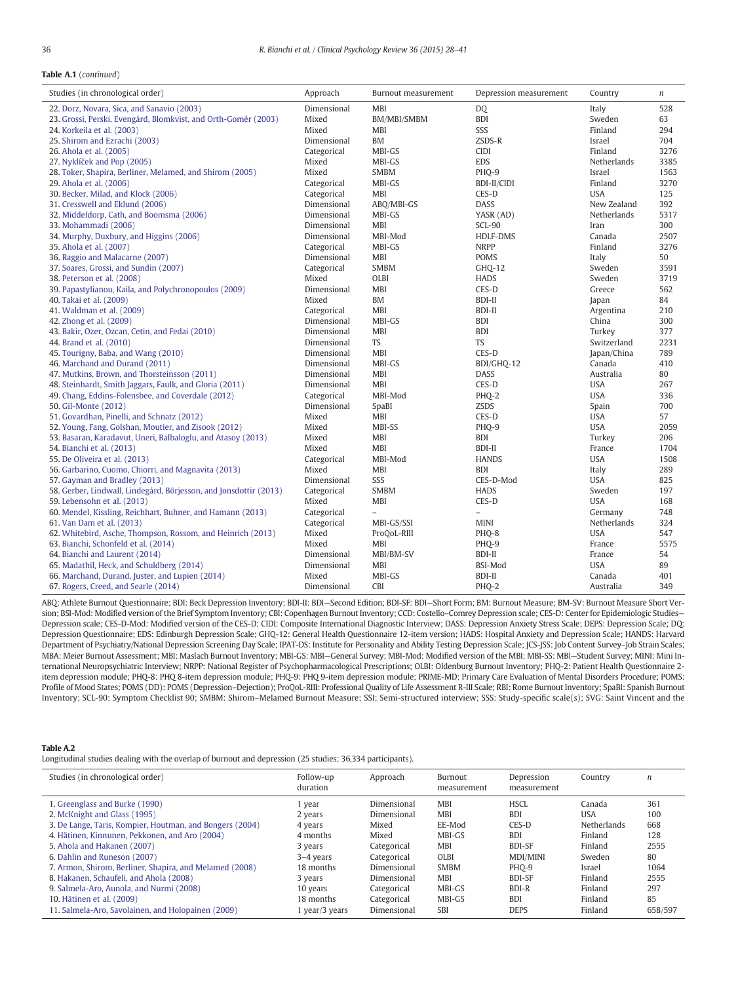# <span id="page-8-0"></span>Table A.1 (continued)

| Studies (in chronological order)                                  | Approach    | Burnout measurement | Depression measurement | Country     | $\boldsymbol{n}$ |
|-------------------------------------------------------------------|-------------|---------------------|------------------------|-------------|------------------|
| 22. Dorz, Novara, Sica, and Sanavio (2003)                        | Dimensional | MBI                 | <b>DO</b>              | Italy       | 528              |
| 23. Grossi, Perski, Evengård, Blomkvist, and Orth-Gomér (2003)    | Mixed       | BM/MBI/SMBM         | <b>BDI</b>             | Sweden      | 63               |
| 24. Korkeila et al. (2003)                                        | Mixed       | <b>MBI</b>          | SSS                    | Finland     | 294              |
| 25. Shirom and Ezrachi (2003)                                     | Dimensional | BM                  | ZSDS-R                 | Israel      | 704              |
| 26. Ahola et al. (2005)                                           | Categorical | MBI-GS              | <b>CIDI</b>            | Finland     | 3276             |
| 27. Nyklíček and Pop (2005)                                       | Mixed       | MBI-GS              | <b>EDS</b>             | Netherlands | 3385             |
| 28. Toker, Shapira, Berliner, Melamed, and Shirom (2005)          | Mixed       | <b>SMBM</b>         | PHQ-9                  | Israel      | 1563             |
| 29. Ahola et al. (2006)                                           | Categorical | MBI-GS              | BDI-II/CIDI            | Finland     | 3270             |
| 30. Becker, Milad, and Klock (2006)                               | Categorical | <b>MBI</b>          | CES-D                  | <b>USA</b>  | 125              |
| 31. Cresswell and Eklund (2006)                                   | Dimensional | ABQ/MBI-GS          | <b>DASS</b>            | New Zealand | 392              |
| 32. Middeldorp, Cath, and Boomsma (2006)                          | Dimensional | MBI-GS              | YASR (AD)              | Netherlands | 5317             |
| 33. Mohammadi (2006)                                              | Dimensional | MBI                 | <b>SCL-90</b>          | Iran        | 300              |
| 34. Murphy, Duxbury, and Higgins (2006)                           | Dimensional | MBI-Mod             | <b>HDLF-DMS</b>        | Canada      | 2507             |
| 35. Ahola et al. (2007)                                           | Categorical | MBI-GS              | <b>NRPP</b>            | Finland     | 3276             |
| 36. Raggio and Malacarne (2007)                                   | Dimensional | <b>MBI</b>          | <b>POMS</b>            | Italy       | 50               |
| 37. Soares, Grossi, and Sundin (2007)                             | Categorical | <b>SMBM</b>         | GHQ-12                 | Sweden      | 3591             |
| 38. Peterson et al. (2008)                                        | Mixed       | <b>OLBI</b>         | <b>HADS</b>            | Sweden      | 3719             |
| 39. Papastylianou, Kaila, and Polychronopoulos (2009)             | Dimensional | MBI                 | CES-D                  | Greece      | 562              |
| 40. Takai et al. (2009)                                           | Mixed       | BM                  | BDI-II                 | Japan       | 84               |
| 41. Waldman et al. (2009)                                         | Categorical | <b>MBI</b>          | BDI-II                 | Argentina   | 210              |
| 42. Zhong et al. (2009)                                           | Dimensional | MBI-GS              | <b>BDI</b>             | China       | 300              |
| 43. Bakir, Ozer, Ozcan, Cetin, and Fedai (2010)                   | Dimensional | <b>MBI</b>          | <b>BDI</b>             | Turkey      | 377              |
| 44. Brand et al. (2010)                                           | Dimensional | TS                  | TS                     | Switzerland | 2231             |
| 45. Tourigny, Baba, and Wang (2010)                               | Dimensional | <b>MBI</b>          | CES-D                  | Japan/China | 789              |
| 46. Marchand and Durand (2011)                                    | Dimensional | MBI-GS              | BDI/GHQ-12             | Canada      | 410              |
| 47. Mutkins, Brown, and Thorsteinsson (2011)                      | Dimensional | <b>MBI</b>          | <b>DASS</b>            | Australia   | 80               |
| 48. Steinhardt, Smith Jaggars, Faulk, and Gloria (2011)           | Dimensional | MBI                 | CES-D                  | <b>USA</b>  | 267              |
| 49. Chang, Eddins-Folensbee, and Coverdale (2012)                 | Categorical | MBI-Mod             | PHQ-2                  | <b>USA</b>  | 336              |
| 50. Gil-Monte (2012)                                              | Dimensional | SpaBI               | ZSDS                   | Spain       | 700              |
| 51. Govardhan, Pinelli, and Schnatz (2012)                        | Mixed       | MBI                 | CES-D                  | <b>USA</b>  | 57               |
| 52. Young, Fang, Golshan, Moutier, and Zisook (2012)              | Mixed       | MBI-SS              | PHO-9                  | <b>USA</b>  | 2059             |
| 53. Basaran, Karadavut, Uneri, Balbaloglu, and Atasoy (2013)      | Mixed       | MBI                 | <b>BDI</b>             | Turkey      | 206              |
| 54. Bianchi et al. (2013)                                         | Mixed       | MBI                 | BDI-II                 | France      | 1704             |
| 55. De Oliveira et al. (2013)                                     | Categorical | MBI-Mod             | <b>HANDS</b>           | <b>USA</b>  | 1508             |
| 56. Garbarino, Cuomo, Chiorri, and Magnavita (2013)               | Mixed       | MBI                 | <b>BDI</b>             | Italy       | 289              |
| 57. Gayman and Bradley (2013)                                     | Dimensional | SSS                 | CES-D-Mod              | <b>USA</b>  | 825              |
| 58. Gerber, Lindwall, Lindegård, Börjesson, and Jonsdottir (2013) | Categorical | <b>SMBM</b>         | <b>HADS</b>            | Sweden      | 197              |
| 59. Lebensohn et al. (2013)                                       | Mixed       | <b>MBI</b>          | CES-D                  | <b>USA</b>  | 168              |
| 60. Mendel, Kissling, Reichhart, Buhner, and Hamann (2013)        | Categorical | $\overline{a}$      | $\overline{a}$         | Germany     | 748              |
| 61. Van Dam et al. (2013)                                         | Categorical | MBI-GS/SSI          | <b>MINI</b>            | Netherlands | 324              |
| 62. Whitebird, Asche, Thompson, Rossom, and Heinrich (2013)       | Mixed       | ProQoL-RIII         | PHQ-8                  | <b>USA</b>  | 547              |
| 63. Bianchi, Schonfeld et al. (2014)                              | Mixed       | <b>MBI</b>          | PHQ-9                  | France      | 5575             |
| 64. Bianchi and Laurent (2014)                                    | Dimensional | MBI/BM-SV           | BDI-II                 | France      | 54               |
| 65. Madathil, Heck, and Schuldberg (2014)                         | Dimensional | MBI                 | <b>BSI-Mod</b>         | <b>USA</b>  | 89               |
| 66. Marchand, Durand, Juster, and Lupien (2014)                   | Mixed       | MBI-GS              | <b>BDI-II</b>          | Canada      | 401              |
| 67. Rogers, Creed, and Searle (2014)                              | Dimensional | CBI                 | PHQ-2                  | Australia   | 349              |

ABQ: Athlete Burnout Questionnaire; BDI: Beck Depression Inventory; BDI-II: BDI—Second Edition; BDI-SF: BDI—Short Form; BM: Burnout Measure; BM-SV: Burnout Measure Short Version; BSI-Mod: Modified version of the Brief Symptom Inventory; CBI: Copenhagen Burnout Inventory; CCD: Costello-Comrey Depression scale; CES-D: Center for Epidemiologic Studies-Depression scale; CES-D-Mod: Modified version of the CES-D; CIDI: Composite International Diagnostic Interview; DASS: Depression Anxiety Stress Scale; DEPS: Depression Scale; DQ: Depression Questionnaire; EDS: Edinburgh Depression Scale; GHQ-12: General Health Questionnaire 12-item version; HADS: Hospital Anxiety and Depression Scale; HANDS: Harvard Department of Psychiatry/National Depression Screening Day Scale; IPAT-DS: Institute for Personality and Ability Testing Depression Scale; JCS-JSS: Job Content Survey–Job Strain Scales; MBA: Meier Burnout Assessment; MBI: Maslach Burnout Inventory; MBI-GS: MBI—General Survey; MBI-Mod: Modified version of the MBI; MBI-SS: MBI—Student Survey; MINI: Mini International Neuropsychiatric Interview; NRPP: National Register of Psychopharmacological Prescriptions; OLBI: Oldenburg Burnout Inventory; PHQ-2: Patient Health Questionnaire 2 item depression module; PHQ-8: PHQ 8-item depression module; PHQ-9: PHQ 9-item depression module; PRIME-MD: Primary Care Evaluation of Mental Disorders Procedure; POMS: Profile of Mood States; POMS (DD): POMS (Depression–Dejection); ProQoL-RIII: Professional Quality of Life Assessment R-III Scale; RBI: Rome Burnout Inventory; SpaBI: Spanish Burnout Inventory; SCL-90: Symptom Checklist 90; SMBM: Shirom–Melamed Burnout Measure; SSI: Semi-structured interview; SSS: Study-specific scale(s); SVG: Saint Vincent and the

#### Table A.2

Longitudinal studies dealing with the overlap of burnout and depression (25 studies; 36,334 participants).

| Studies (in chronological order)                         | Follow-up<br>duration | Approach    | Burnout<br>measurement | Depression<br>measurement | Country            | n       |
|----------------------------------------------------------|-----------------------|-------------|------------------------|---------------------------|--------------------|---------|
| 1. Greenglass and Burke (1990)                           | 1 year                | Dimensional | <b>MBI</b>             | HSCL.                     | Canada             | 361     |
| 2. McKnight and Glass (1995)                             | 2 years               | Dimensional | <b>MBI</b>             | <b>BDI</b>                | <b>USA</b>         | 100     |
| 3. De Lange, Taris, Kompier, Houtman, and Bongers (2004) | 4 years               | Mixed       | EE-Mod                 | CES-D                     | <b>Netherlands</b> | 668     |
| 4. Hätinen, Kinnunen, Pekkonen, and Aro (2004)           | 4 months              | Mixed       | MBI-GS                 | <b>BDI</b>                | Finland            | 128     |
| 5. Ahola and Hakanen (2007)                              | 3 years               | Categorical | <b>MBI</b>             | <b>BDI-SF</b>             | Finland            | 2555    |
| 6. Dahlin and Runeson (2007)                             | 3-4 years             | Categorical | OLBI                   | MDI/MINI                  | Sweden             | 80      |
| 7. Armon, Shirom, Berliner, Shapira, and Melamed (2008)  | 18 months             | Dimensional | <b>SMBM</b>            | PHQ-9                     | Israel             | 1064    |
| 8. Hakanen, Schaufeli, and Ahola (2008)                  | 3 years               | Dimensional | <b>MBI</b>             | <b>BDI-SF</b>             | Finland            | 2555    |
| 9. Salmela-Aro, Aunola, and Nurmi (2008)                 | 10 years              | Categorical | MBI-GS                 | BDI-R                     | Finland            | 297     |
| 10. Hätinen et al. (2009)                                | 18 months             | Categorical | MBI-GS                 | <b>BDI</b>                | Finland            | 85      |
| 11. Salmela-Aro, Savolainen, and Holopainen (2009)       | 1 year/3 years        | Dimensional | <b>SBI</b>             | <b>DEPS</b>               | Finland            | 658/597 |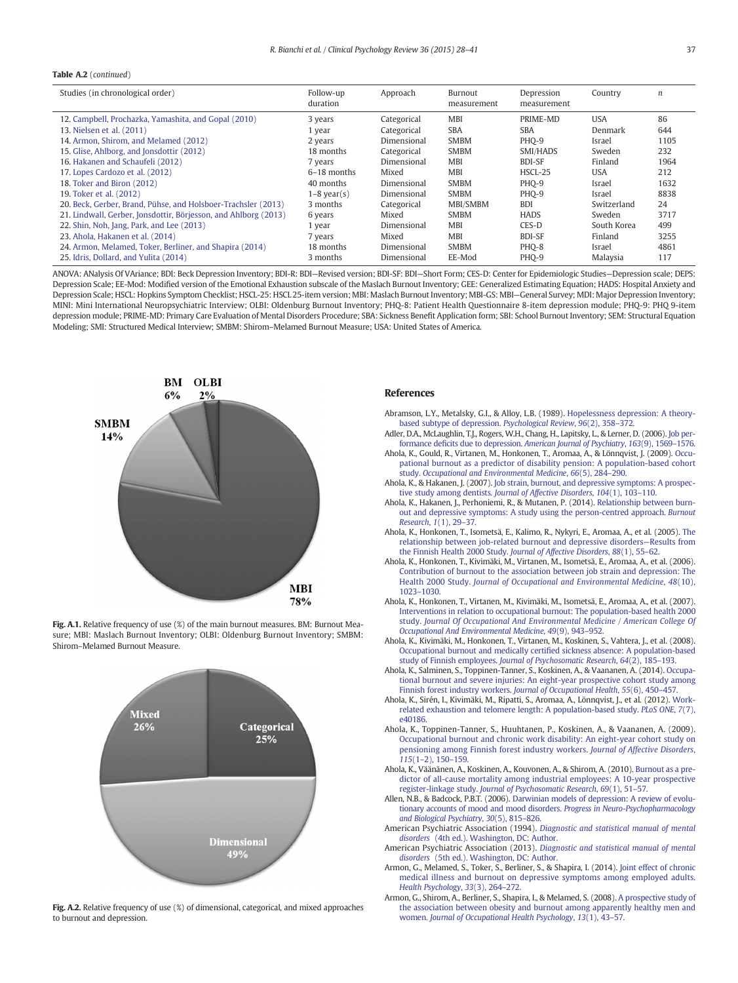# <span id="page-9-0"></span>Table A.2 (continued)

| Studies (in chronological order)                                | Follow-up<br>duration | Approach    | Burnout<br>measurement | Depression<br>measurement | Country     | n    |
|-----------------------------------------------------------------|-----------------------|-------------|------------------------|---------------------------|-------------|------|
| 12. Campbell, Prochazka, Yamashita, and Gopal (2010)            | 3 years               | Categorical | <b>MBI</b>             | PRIME-MD                  | <b>USA</b>  | 86   |
| 13. Nielsen et al. (2011)                                       | 1 year                | Categorical | <b>SBA</b>             | <b>SBA</b>                | Denmark     | 644  |
| 14. Armon, Shirom, and Melamed (2012)                           | 2 years               | Dimensional | <b>SMBM</b>            | PHQ-9                     | Israel      | 1105 |
| 15. Glise, Ahlborg, and Jonsdottir (2012)                       | 18 months             | Categorical | SMBM                   | SMI/HADS                  | Sweden      | 232  |
| 16. Hakanen and Schaufeli (2012)                                | 7 years               | Dimensional | MBI                    | <b>BDI-SF</b>             | Finland     | 1964 |
| 17. Lopes Cardozo et al. (2012)                                 | 6–18 months           | Mixed       | <b>MBI</b>             | HSCL-25                   | <b>USA</b>  | 212  |
| 18. Toker and Biron (2012)                                      | 40 months             | Dimensional | <b>SMBM</b>            | PHQ-9                     | Israel      | 1632 |
| 19. Toker et al. (2012)                                         | $1-8$ year(s)         | Dimensional | <b>SMBM</b>            | PHQ-9                     | Israel      | 8838 |
| 20. Beck, Gerber, Brand, Pühse, and Holsboer-Trachsler (2013)   | 3 months              | Categorical | MBI/SMBM               | <b>BDI</b>                | Switzerland | 24   |
| 21. Lindwall, Gerber, Jonsdottir, Börjesson, and Ahlborg (2013) | 6 years               | Mixed       | <b>SMBM</b>            | HADS                      | Sweden      | 3717 |
| 22. Shin, Noh, Jang, Park, and Lee (2013)                       | 1 year                | Dimensional | <b>MBI</b>             | CES-D                     | South Korea | 499  |
| 23. Ahola, Hakanen et al. (2014)                                | 7 years               | Mixed       | MBI                    | <b>BDI-SF</b>             | Finland     | 3255 |
| 24. Armon, Melamed, Toker, Berliner, and Shapira (2014)         | 18 months             | Dimensional | <b>SMBM</b>            | PHQ-8                     | Israel      | 4861 |
| 25. Idris, Dollard, and Yulita (2014)                           | 3 months              | Dimensional | EE-Mod                 | PHO-9                     | Malaysia    | 117  |

ANOVA: ANalysis Of VAriance; BDI: Beck Depression Inventory; BDI-R: BDI—Revised version; BDI-SF: BDI—Short Form; CES-D: Center for Epidemiologic Studies—Depression scale; DEPS: Depression Scale; EE-Mod: Modified version of the Emotional Exhaustion subscale of the Maslach Burnout Inventory; GEE: Generalized Estimating Equation; HADS: Hospital Anxiety and Depression Scale; HSCL: Hopkins Symptom Checklist; HSCL-25: HSCL 25-item version; MBI: Maslach Burnout Inventory; MBI-GS: MBI—General Survey; MDI: Major Depression Inventory; MINI: Mini International Neuropsychiatric Interview; OLBI: Oldenburg Burnout Inventory; PHQ-8: Patient Health Questionnaire 8-item depression module; PHQ-9: PHQ 9-item depression module; PRIME-MD: Primary Care Evaluation of Mental Disorders Procedure; SBA: Sickness Benefit Application form; SBI: School Burnout Inventory; SEM: Structural Equation Modeling; SMI: Structured Medical Interview; SMBM: Shirom–Melamed Burnout Measure; USA: United States of America.



Fig. A.1. Relative frequency of use  $(\%)$  of the main burnout measures. BM: Burnout Measure; MBI: Maslach Burnout Inventory; OLBI: Oldenburg Burnout Inventory; SMBM: Shirom–Melamed Burnout Measure.



Fig. A.2. Relative frequency of use (%) of dimensional, categorical, and mixed approaches to burnout and depression.

#### References

- Abramson, L.Y., Metalsky, G.I., & Alloy, L.B. (1989). [Hopelessness depression: A theory](http://refhub.elsevier.com/S0272-7358(15)00017-3/rf0815)[based subtype of depression.](http://refhub.elsevier.com/S0272-7358(15)00017-3/rf0815) Psychological Review, 96(2), 358–372.
- Adler, D.A., McLaughlin, T.J., Rogers, W.H., Chang, H., Lapitsky, L., & Lerner, D. (2006). [Job per](http://refhub.elsevier.com/S0272-7358(15)00017-3/rf0820)formance deficits due to depression. [American Journal of Psychiatry](http://refhub.elsevier.com/S0272-7358(15)00017-3/rf0820), 163(9), 1569–1576.
- Ahola, K., Gould, R., Virtanen, M., Honkonen, T., Aromaa, A., & Lönnqvist, J. (2009). [Occu](http://refhub.elsevier.com/S0272-7358(15)00017-3/rf0825)[pational burnout as a predictor of disability pension: A population-based cohort](http://refhub.elsevier.com/S0272-7358(15)00017-3/rf0825) study. [Occupational and Environmental Medicine](http://refhub.elsevier.com/S0272-7358(15)00017-3/rf0825), 66(5), 284–290.
- Ahola, K., & Hakanen, J. (2007). [Job strain, burnout, and depressive symptoms: A prospec](http://refhub.elsevier.com/S0272-7358(15)00017-3/rf0830)tive study among dentists. [Journal of Affective Disorders](http://refhub.elsevier.com/S0272-7358(15)00017-3/rf0830), 104(1), 103–110.
- Ahola, K., Hakanen, J., Perhoniemi, R., & Mutanen, P. (2014). [Relationship between burn](http://refhub.elsevier.com/S0272-7358(15)00017-3/rf59000)[out and depressive symptoms: A study using the person-centred approach.](http://refhub.elsevier.com/S0272-7358(15)00017-3/rf59000) Burnout [Research](http://refhub.elsevier.com/S0272-7358(15)00017-3/rf59000), 1(1), 29–37.
- Ahola, K., Honkonen, T., Isometsä, E., Kalimo, R., Nykyri, E., Aromaa, A., et al. (2005). [The](http://refhub.elsevier.com/S0272-7358(15)00017-3/rf0835) [relationship between job-related burnout and depressive disorders](http://refhub.elsevier.com/S0272-7358(15)00017-3/rf0835)—Results from [the Finnish Health 2000 Study.](http://refhub.elsevier.com/S0272-7358(15)00017-3/rf0835) Journal of Affective Disorders, 88(1), 55–62.
- Ahola, K., Honkonen, T., Kivimäki, M., Virtanen, M., Isometsä, E., Aromaa, A., et al. (2006). [Contribution of burnout to the association between job strain and depression: The](http://refhub.elsevier.com/S0272-7358(15)00017-3/rf0840) Health 2000 Study. [Journal of Occupational and Environmental Medicine](http://refhub.elsevier.com/S0272-7358(15)00017-3/rf0840), 48(10), 1023–[1030.](http://refhub.elsevier.com/S0272-7358(15)00017-3/rf0840)
- Ahola, K., Honkonen, T., Virtanen, M., Kivimäki, M., Isometsä, E., Aromaa, A., et al. (2007). [Interventions in relation to occupational burnout: The population-based health 2000](http://refhub.elsevier.com/S0272-7358(15)00017-3/rf159005) study. [Journal Of Occupational And Environmental Medicine / American College Of](http://refhub.elsevier.com/S0272-7358(15)00017-3/rf159005) [Occupational And Environmental Medicine](http://refhub.elsevier.com/S0272-7358(15)00017-3/rf159005), 49(9), 943–952.
- Ahola, K., Kivimäki, M., Honkonen, T., Virtanen, M., Koskinen, S., Vahtera, J., et al. (2008). [Occupational burnout and medically certi](http://refhub.elsevier.com/S0272-7358(15)00017-3/rf0845)fied sickness absence: A population-based study of Finnish employees. [Journal of Psychosomatic Research](http://refhub.elsevier.com/S0272-7358(15)00017-3/rf0845), 64(2), 185–193.
- Ahola, K., Salminen, S., Toppinen-Tanner, S., Koskinen, A., & Vaananen, A. (2014). [Occupa](http://refhub.elsevier.com/S0272-7358(15)00017-3/rf0850)[tional burnout and severe injuries: An eight-year prospective cohort study among](http://refhub.elsevier.com/S0272-7358(15)00017-3/rf0850) [Finnish forest industry workers.](http://refhub.elsevier.com/S0272-7358(15)00017-3/rf0850) Journal of Occupational Health, 55(6), 450–457.
- Ahola, K., Sirén, I., Kivimäki, M., Ripatti, S., Aromaa, A., Lönnqvist, J., et al. (2012). [Work](http://refhub.elsevier.com/S0272-7358(15)00017-3/rf0855)[related exhaustion and telomere length: A population-based study.](http://refhub.elsevier.com/S0272-7358(15)00017-3/rf0855) PLoS ONE, 7(7), e40186
- Ahola, K., Toppinen-Tanner, S., Huuhtanen, P., Koskinen, A., & Vaananen, A. (2009). [Occupational burnout and chronic work disability: An eight-year cohort study on](http://refhub.elsevier.com/S0272-7358(15)00017-3/rf0860) [pensioning among Finnish forest industry workers.](http://refhub.elsevier.com/S0272-7358(15)00017-3/rf0860) Journal of Affective Disorders, 115(1–[2\), 150](http://refhub.elsevier.com/S0272-7358(15)00017-3/rf0860)–159.
- Ahola, K., Väänänen, A., Koskinen, A., Kouvonen, A., & Shirom, A. (2010). [Burnout as a pre](http://refhub.elsevier.com/S0272-7358(15)00017-3/rf0865)[dictor of all-cause mortality among industrial employees: A 10-year prospective](http://refhub.elsevier.com/S0272-7358(15)00017-3/rf0865) register-linkage study. [Journal of Psychosomatic Research](http://refhub.elsevier.com/S0272-7358(15)00017-3/rf0865), 69(1), 51–57.
- Allen, N.B., & Badcock, P.B.T. (2006). [Darwinian models of depression: A review of evolu](http://refhub.elsevier.com/S0272-7358(15)00017-3/rf0870)[tionary accounts of mood and mood disorders.](http://refhub.elsevier.com/S0272-7358(15)00017-3/rf0870) Progress in Neuro-Psychopharmacology [and Biological Psychiatry](http://refhub.elsevier.com/S0272-7358(15)00017-3/rf0870), 30(5), 815–826.
- American Psychiatric Association (1994). [Diagnostic and statistical manual of mental](http://refhub.elsevier.com/S0272-7358(15)00017-3/rf0875) disorders [\(4th ed.\). Washington, DC: Author.](http://refhub.elsevier.com/S0272-7358(15)00017-3/rf0875)
- American Psychiatric Association (2013). [Diagnostic and statistical manual of mental](http://refhub.elsevier.com/S0272-7358(15)00017-3/rf0880) disorders [\(5th ed.\). Washington, DC: Author.](http://refhub.elsevier.com/S0272-7358(15)00017-3/rf0880)
- Armon, G., Melamed, S., Toker, S., Berliner, S., & Shapira, I. (2014). [Joint effect of chronic](http://refhub.elsevier.com/S0272-7358(15)00017-3/rf0885) [medical illness and burnout on depressive symptoms among employed adults.](http://refhub.elsevier.com/S0272-7358(15)00017-3/rf0885) [Health Psychology](http://refhub.elsevier.com/S0272-7358(15)00017-3/rf0885), 33(3), 264–272.
- Armon, G., Shirom, A., Berliner, S., Shapira, I., & Melamed, S. (2008). [A prospective study of](http://refhub.elsevier.com/S0272-7358(15)00017-3/rf0890) [the association between obesity and burnout among apparently healthy men and](http://refhub.elsevier.com/S0272-7358(15)00017-3/rf0890) women. [Journal of Occupational Health Psychology](http://refhub.elsevier.com/S0272-7358(15)00017-3/rf0890), 13(1), 43–57.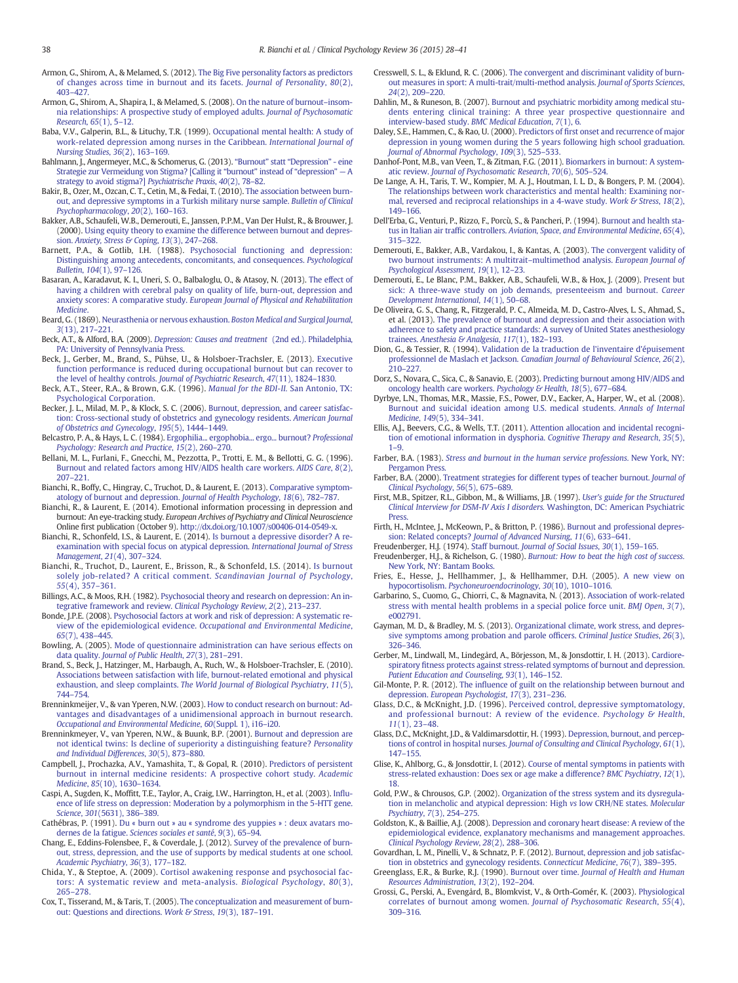- <span id="page-10-0"></span>Armon, G., Shirom, A., & Melamed, S. (2012). [The Big Five personality factors as predictors](http://refhub.elsevier.com/S0272-7358(15)00017-3/rf0895) [of changes across time in burnout and its facets.](http://refhub.elsevier.com/S0272-7358(15)00017-3/rf0895) Journal of Personality, 80(2), 403–[427.](http://refhub.elsevier.com/S0272-7358(15)00017-3/rf0895)
- Armon, G., Shirom, A., Shapira, I., & Melamed, S. (2008). [On the nature of burnout](http://refhub.elsevier.com/S0272-7358(15)00017-3/rf0900)–insom[nia relationships: A prospective study of employed adults.](http://refhub.elsevier.com/S0272-7358(15)00017-3/rf0900) Journal of Psychosomatic [Research](http://refhub.elsevier.com/S0272-7358(15)00017-3/rf0900), 65(1), 5–12.
- Baba, V.V., Galperin, B.L., & Lituchy, T.R. (1999). [Occupational mental health: A study of](http://refhub.elsevier.com/S0272-7358(15)00017-3/rf0905) [work-related depression among nurses in the Caribbean.](http://refhub.elsevier.com/S0272-7358(15)00017-3/rf0905) International Journal of [Nursing Studies](http://refhub.elsevier.com/S0272-7358(15)00017-3/rf0905), 36(2), 163–169.
- Bahlmann, J., Angermeyer, M.C., & Schomerus, G. (2013). "Burnout" statt "[Depression](http://refhub.elsevier.com/S0272-7358(15)00017-3/rf0005)" eine [Strategie zur Vermeidung von Stigma? \[Calling it](http://refhub.elsevier.com/S0272-7358(15)00017-3/rf0005) "burnout" instead of "depression" — A [strategy to avoid stigma?\]](http://refhub.elsevier.com/S0272-7358(15)00017-3/rf0005) Psychiatrische Praxis, 40(2), 78–82.
- Bakir, B., Ozer, M., Ozcan, C. T., Cetin, M., & Fedai, T. (2010). [The association between burn](http://refhub.elsevier.com/S0272-7358(15)00017-3/rf9010)[out, and depressive symptoms in a Turkish military nurse sample.](http://refhub.elsevier.com/S0272-7358(15)00017-3/rf9010) Bulletin of Clinical [Psychopharmacology](http://refhub.elsevier.com/S0272-7358(15)00017-3/rf9010), 20(2), 160–163.
- Bakker, A.B., Schaufeli, W.B., Demerouti, E., Janssen, P.P.M., Van Der Hulst, R., & Brouwer, J. (2000). [Using equity theory to examine the difference between burnout and depres-](http://refhub.elsevier.com/S0272-7358(15)00017-3/rf0010)sion. [Anxiety, Stress & Coping](http://refhub.elsevier.com/S0272-7358(15)00017-3/rf0010), 13(3), 247-268.
- Barnett, P.A., & Gotlib, I.H. (1988). [Psychosocial functioning and depression:](http://refhub.elsevier.com/S0272-7358(15)00017-3/rf0015) [Distinguishing among antecedents, concomitants, and consequences.](http://refhub.elsevier.com/S0272-7358(15)00017-3/rf0015) Psychological [Bulletin](http://refhub.elsevier.com/S0272-7358(15)00017-3/rf0015), 104(1), 97–126.
- Basaran, A., Karadavut, K. I., Uneri, S. O., Balbaloglu, O., & Atasoy, N. (2013). [The effect of](http://refhub.elsevier.com/S0272-7358(15)00017-3/rf2000) [having a children with cerebral palsy on quality of life, burn-out, depression and](http://refhub.elsevier.com/S0272-7358(15)00017-3/rf2000) anxiety scores: A comparative study. [European Journal of Physical and Rehabilitation](http://refhub.elsevier.com/S0272-7358(15)00017-3/rf2000) [Medicine](http://refhub.elsevier.com/S0272-7358(15)00017-3/rf2000).
- Beard, G. (1869). [Neurasthenia or nervous exhaustion.](http://refhub.elsevier.com/S0272-7358(15)00017-3/rf0020) Boston Medical and Surgical Journal, 3[\(13\), 217](http://refhub.elsevier.com/S0272-7358(15)00017-3/rf0020)–221.
- Beck, A.T., & Alford, B.A. (2009). [Depression: Causes and treatment](http://refhub.elsevier.com/S0272-7358(15)00017-3/rf0025) (2nd ed.). Philadelphia, [PA: University of Pennsylvania Press.](http://refhub.elsevier.com/S0272-7358(15)00017-3/rf0025)
- Beck, J., Gerber, M., Brand, S., Pühse, U., & Holsboer-Trachsler, E. (2013). [Executive](http://refhub.elsevier.com/S0272-7358(15)00017-3/rf0035) [function performance is reduced during occupational burnout but can recover to](http://refhub.elsevier.com/S0272-7358(15)00017-3/rf0035) the level of healthy controls. [Journal of Psychiatric Research](http://refhub.elsevier.com/S0272-7358(15)00017-3/rf0035), 47(11), 1824–1830.
- Beck, A.T., Steer, R.A., & Brown, G.K. (1996). [Manual for the BDI-II.](http://refhub.elsevier.com/S0272-7358(15)00017-3/rf0030) San Antonio, TX: [Psychological Corporation.](http://refhub.elsevier.com/S0272-7358(15)00017-3/rf0030)
- Becker, J. L., Milad, M. P., & Klock, S. C. (2006). [Burnout, depression, and career satisfac](http://refhub.elsevier.com/S0272-7358(15)00017-3/rf9000)[tion: Cross-sectional study of obstetrics and gynecology residents.](http://refhub.elsevier.com/S0272-7358(15)00017-3/rf9000) American Journal [of Obstetrics and Gynecology](http://refhub.elsevier.com/S0272-7358(15)00017-3/rf9000), 195(5), 1444–1449.
- Belcastro, P. A., & Hays, L. C. (1984). [Ergophilia... ergophobia... ergo... burnout?](http://refhub.elsevier.com/S0272-7358(15)00017-3/rf9030) Professional [Psychology: Research and Practice](http://refhub.elsevier.com/S0272-7358(15)00017-3/rf9030), 15(2), 260–270.
- Bellani, M. L., Furlani, F., Gnecchi, M., Pezzotta, P., Trotti, E. M., & Bellotti, G. G. (1996). [Burnout and related factors among HIV/AIDS health care workers.](http://refhub.elsevier.com/S0272-7358(15)00017-3/rf209005) AIDS Care, 8(2), 207–[221.](http://refhub.elsevier.com/S0272-7358(15)00017-3/rf209005)
- Bianchi, R., Boffy, C., Hingray, C., Truchot, D., & Laurent, E. (2013). [Comparative symptom](http://refhub.elsevier.com/S0272-7358(15)00017-3/rf0040)[atology of burnout and depression.](http://refhub.elsevier.com/S0272-7358(15)00017-3/rf0040) Journal of Health Psychology, 18(6), 782–787.
- Bianchi, R., & Laurent, E. (2014). Emotional information processing in depression and burnout: An eye-tracking study. European Archives of Psychiatry and Clinical Neuroscience Online first publication (October 9). [http://dx.doi.org/10.1007/s00406-014-0549-x](http://dx.doi.org/).
- Bianchi, R., Schonfeld, I.S., & Laurent, E. (2014). [Is burnout a depressive disorder? A re](http://refhub.elsevier.com/S0272-7358(15)00017-3/rf0045)[examination with special focus on atypical depression.](http://refhub.elsevier.com/S0272-7358(15)00017-3/rf0045) International Journal of Stress [Management](http://refhub.elsevier.com/S0272-7358(15)00017-3/rf0045), 21(4), 307–324.
- Bianchi, R., Truchot, D., Laurent, E., Brisson, R., & Schonfeld, I.S. (2014). [Is burnout](http://refhub.elsevier.com/S0272-7358(15)00017-3/rf0050) [solely job-related? A critical comment.](http://refhub.elsevier.com/S0272-7358(15)00017-3/rf0050) Scandinavian Journal of Psychology, 55[\(4\), 357](http://refhub.elsevier.com/S0272-7358(15)00017-3/rf0050)–361.
- Billings, A.C., & Moos, R.H. (1982). [Psychosocial theory and research on depression: An in](http://refhub.elsevier.com/S0272-7358(15)00017-3/rf0055)[tegrative framework and review.](http://refhub.elsevier.com/S0272-7358(15)00017-3/rf0055) Clinical Psychology Review, 2(2), 213–237.
- Bonde, J.P.E. (2008). [Psychosocial factors at work and risk of depression: A systematic re](http://refhub.elsevier.com/S0272-7358(15)00017-3/rf0060)view of the epidemiological evidence. [Occupational and Environmental Medicine](http://refhub.elsevier.com/S0272-7358(15)00017-3/rf0060), 65[\(7\), 438](http://refhub.elsevier.com/S0272-7358(15)00017-3/rf0060)–445.
- Bowling, A. (2005). Mode [of questionnaire administration can have serious effects on](http://refhub.elsevier.com/S0272-7358(15)00017-3/rf0065) data quality. [Journal of Public Health](http://refhub.elsevier.com/S0272-7358(15)00017-3/rf0065), 27(3), 281–291.
- Brand, S., Beck, J., Hatzinger, M., Harbaugh, A., Ruch, W., & Holsboer-Trachsler, E. (2010). [Associations between satisfaction with life, burnout-related emotional and physical](http://refhub.elsevier.com/S0272-7358(15)00017-3/rf9040) exhaustion, and sleep complaints. [The World Journal of Biological Psychiatry](http://refhub.elsevier.com/S0272-7358(15)00017-3/rf9040), 11(5), 744–[754.](http://refhub.elsevier.com/S0272-7358(15)00017-3/rf9040)
- Brenninkmeijer, V., & van Yperen, N.W. (2003). [How to conduct research on burnout: Ad](http://refhub.elsevier.com/S0272-7358(15)00017-3/rf0070)[vantages and disadvantages of a unidimensional approach in burnout research.](http://refhub.elsevier.com/S0272-7358(15)00017-3/rf0070) [Occupational and Environmental Medicine](http://refhub.elsevier.com/S0272-7358(15)00017-3/rf0070), 60(Suppl. 1), i16–i20.
- Brenninkmeyer, V., van Yperen, N.W., & Buunk, B.P. (2001). [Burnout and depression are](http://refhub.elsevier.com/S0272-7358(15)00017-3/rf0075) [not identical twins: Is decline of superiority a distinguishing feature?](http://refhub.elsevier.com/S0272-7358(15)00017-3/rf0075) Personality [and Individual Differences](http://refhub.elsevier.com/S0272-7358(15)00017-3/rf0075), 30(5), 873–880.
- Campbell, J., Prochazka, A.V., Yamashita, T., & Gopal, R. (2010). [Predictors of persistent](http://refhub.elsevier.com/S0272-7358(15)00017-3/rf0080) [burnout in internal medicine residents: A prospective cohort study.](http://refhub.elsevier.com/S0272-7358(15)00017-3/rf0080) Academic Medicine, 85[\(10\), 1630](http://refhub.elsevier.com/S0272-7358(15)00017-3/rf0080)–1634.
- Caspi, A., Sugden, K., Moffitt, T.E., Taylor, A., Craig, I.W., Harrington, H., et al. (2003). Infl[u](http://refhub.elsevier.com/S0272-7358(15)00017-3/rf0085)[ence of life stress on depression: Moderation by a polymorphism in the 5-HTT gene.](http://refhub.elsevier.com/S0272-7358(15)00017-3/rf0085) Science, 301[\(5631\), 386](http://refhub.elsevier.com/S0272-7358(15)00017-3/rf0085)–389.
- Cathébras, P. (1991). [Du « burn out » au « syndrome des yuppies » : deux avatars mo](http://refhub.elsevier.com/S0272-7358(15)00017-3/rf0090)dernes de la fatigue. [Sciences sociales et santé](http://refhub.elsevier.com/S0272-7358(15)00017-3/rf0090), 9(3), 65–94.
- Chang, E., Eddins-Folensbee, F., & Coverdale, J. (2012). [Survey of the prevalence of burn](http://refhub.elsevier.com/S0272-7358(15)00017-3/rf9045)[out, stress, depression, and the use of supports by medical students at one school.](http://refhub.elsevier.com/S0272-7358(15)00017-3/rf9045) [Academic Psychiatry](http://refhub.elsevier.com/S0272-7358(15)00017-3/rf9045), 36(3), 177–182.
- Chida, Y., & Steptoe, A. (2009). [Cortisol awakening response and psychosocial fac](http://refhub.elsevier.com/S0272-7358(15)00017-3/rf0095)[tors: A systematic review and meta-analysis.](http://refhub.elsevier.com/S0272-7358(15)00017-3/rf0095) Biological Psychology, 80(3), 265–[278.](http://refhub.elsevier.com/S0272-7358(15)00017-3/rf0095)
- Cox, T., Tisserand, M., & Taris, T. (2005). [The conceptualization and measurement of burn](http://refhub.elsevier.com/S0272-7358(15)00017-3/rf0100)[out: Questions and directions.](http://refhub.elsevier.com/S0272-7358(15)00017-3/rf0100) Work & Stress, 19(3), 187-191.
- Cresswell, S. L., & Eklund, R. C. (2006). [The convergent and discriminant validity of burn](http://refhub.elsevier.com/S0272-7358(15)00017-3/rf9050)[out measures in sport: A multi-trait/multi-method analysis.](http://refhub.elsevier.com/S0272-7358(15)00017-3/rf9050) Journal of Sports Sciences, 24[\(2\), 209](http://refhub.elsevier.com/S0272-7358(15)00017-3/rf9050)–220.
- Dahlin, M., & Runeson, B. (2007). [Burnout and psychiatric morbidity among medical stu](http://refhub.elsevier.com/S0272-7358(15)00017-3/rf0105)[dents entering clinical training: A three year prospective questionnaire and](http://refhub.elsevier.com/S0272-7358(15)00017-3/rf0105) interview-based study. [BMC Medical Education](http://refhub.elsevier.com/S0272-7358(15)00017-3/rf0105), 7(1), 6.
- Daley, S.E., Hammen, C., & Rao, U. (2000). Predictors of fi[rst onset and recurrence of major](http://refhub.elsevier.com/S0272-7358(15)00017-3/rf0110) [depression in young women during the 5 years following high school graduation.](http://refhub.elsevier.com/S0272-7358(15)00017-3/rf0110) [Journal of Abnormal Psychology](http://refhub.elsevier.com/S0272-7358(15)00017-3/rf0110), 109(3), 525–533.
- Danhof-Pont, M.B., van Veen, T., & Zitman, F.G. (2011). [Biomarkers in burnout: A system](http://refhub.elsevier.com/S0272-7358(15)00017-3/rf0115)atic review. [Journal of Psychosomatic Research](http://refhub.elsevier.com/S0272-7358(15)00017-3/rf0115), 70(6), 505–524.
- De Lange, A. H., Taris, T. W., Kompier, M. A. J., Houtman, I. L. D., & Bongers, P. M. (2004). [The relationships between work characteristics and mental health: Examining nor](http://refhub.elsevier.com/S0272-7358(15)00017-3/rf9070)[mal, reversed and reciprocal relationships in a 4-wave study.](http://refhub.elsevier.com/S0272-7358(15)00017-3/rf9070) Work  $\&$  Stress, 18(2), 149–[166.](http://refhub.elsevier.com/S0272-7358(15)00017-3/rf9070)
- Dell'Erba, G., Venturi, P., Rizzo, F., Porcù, S., & Pancheri, P. (1994). [Burnout and health sta](http://refhub.elsevier.com/S0272-7358(15)00017-3/rf9075)tus in Italian air traffic controllers. [Aviation, Space, and Environmental Medicine](http://refhub.elsevier.com/S0272-7358(15)00017-3/rf9075), 65(4), 315–[322.](http://refhub.elsevier.com/S0272-7358(15)00017-3/rf9075)
- Demerouti, E., Bakker, A.B., Vardakou, I., & Kantas, A. (2003). [The convergent validity of](http://refhub.elsevier.com/S0272-7358(15)00017-3/rf0120) [two burnout instruments: A multitrait](http://refhub.elsevier.com/S0272-7358(15)00017-3/rf0120)–multimethod analysis. European Journal of [Psychological Assessment](http://refhub.elsevier.com/S0272-7358(15)00017-3/rf0120), 19(1), 12–23.
- Demerouti, E., Le Blanc, P.M., Bakker, A.B., Schaufeli, W.B., & Hox, J. (2009). [Present but](http://refhub.elsevier.com/S0272-7358(15)00017-3/rf0125) [sick: A three-wave study on job demands, presenteeism and burnout.](http://refhub.elsevier.com/S0272-7358(15)00017-3/rf0125) Career [Development International](http://refhub.elsevier.com/S0272-7358(15)00017-3/rf0125), 14(1), 50–68.
- De Oliveira, G. S., Chang, R., Fitzgerald, P. C., Almeida, M. D., Castro-Alves, L. S., Ahmad, S., et al. (2013). [The prevalence of burnout and depression and their association with](http://refhub.elsevier.com/S0272-7358(15)00017-3/rf9080) [adherence to safety and practice standards: A survey of United States anesthesiology](http://refhub.elsevier.com/S0272-7358(15)00017-3/rf9080) trainees. [Anesthesia & Analgesia](http://refhub.elsevier.com/S0272-7358(15)00017-3/rf9080), 117(1), 182-193.
- Dion, G., & Tessier, R. (1994). [Validation de la traduction de l'inventaire d'épuisement](http://refhub.elsevier.com/S0272-7358(15)00017-3/rf9085) professionnel de Maslach et Jackson. [Canadian Journal of Behavioural Science](http://refhub.elsevier.com/S0272-7358(15)00017-3/rf9085), 26(2), 210–[227.](http://refhub.elsevier.com/S0272-7358(15)00017-3/rf9085)
- Dorz, S., Novara, C., Sica, C., & Sanavio, E. (2003). [Predicting burnout among HIV/AIDS and](http://refhub.elsevier.com/S0272-7358(15)00017-3/rf0130) [oncology health care workers.](http://refhub.elsevier.com/S0272-7358(15)00017-3/rf0130) Psychology & Health, 18(5), 677–684.
- Dyrbye, L.N., Thomas, M.R., Massie, F.S., Power, D.V., Eacker, A., Harper, W., et al. (2008). [Burnout and suicidal ideation among U.S. medical students.](http://refhub.elsevier.com/S0272-7358(15)00017-3/rf0135) Annals of Internal [Medicine](http://refhub.elsevier.com/S0272-7358(15)00017-3/rf0135), 149(5), 334–341.
- Ellis, A.J., Beevers, C.G., & Wells, T.T. (2011). [Attention allocation and incidental recogni](http://refhub.elsevier.com/S0272-7358(15)00017-3/rf0140)[tion of emotional information in dysphoria.](http://refhub.elsevier.com/S0272-7358(15)00017-3/rf0140) Cognitive Therapy and Research, 35(5), 1–[9.](http://refhub.elsevier.com/S0272-7358(15)00017-3/rf0140)
- Farber, B.A. (1983). [Stress and burnout in the human service professions.](http://refhub.elsevier.com/S0272-7358(15)00017-3/rf0145) New York, NY: [Pergamon Press.](http://refhub.elsevier.com/S0272-7358(15)00017-3/rf0145)
- Farber, B.A. (2000). [Treatment strategies for different types of teacher burnout.](http://refhub.elsevier.com/S0272-7358(15)00017-3/rf0150) Journal of [Clinical Psychology](http://refhub.elsevier.com/S0272-7358(15)00017-3/rf0150), 56(5), 675–689.
- First, M.B., Spitzer, R.L., Gibbon, M., & Williams, J.B. (1997). [User's guide for the Structured](http://refhub.elsevier.com/S0272-7358(15)00017-3/rf0155) [Clinical Interview for DSM-IV Axis I disorders.](http://refhub.elsevier.com/S0272-7358(15)00017-3/rf0155) Washington, DC: American Psychiatric [Press.](http://refhub.elsevier.com/S0272-7358(15)00017-3/rf0155)
- Firth, H., McIntee, J., McKeown, P., & Britton, P. (1986). [Burnout and professional depres](http://refhub.elsevier.com/S0272-7358(15)00017-3/rf9090)sion: Related concepts? [Journal of Advanced Nursing](http://refhub.elsevier.com/S0272-7358(15)00017-3/rf9090), 11(6), 633–641.
- Freudenberger, H.J. (1974). Staff burnout. [Journal of Social Issues](http://refhub.elsevier.com/S0272-7358(15)00017-3/rf0160), 30(1), 159–165.
- Freudenberger, H.J., & Richelson, G. (1980). [Burnout: How to beat the high cost of success.](http://refhub.elsevier.com/S0272-7358(15)00017-3/rf0165) [New York, NY: Bantam Books.](http://refhub.elsevier.com/S0272-7358(15)00017-3/rf0165)
- Fries, E., Hesse, J., Hellhammer, J., & Hellhammer, D.H. (2005). [A new view on](http://refhub.elsevier.com/S0272-7358(15)00017-3/rf0170) hypocortisolism. [Psychoneuroendocrinology](http://refhub.elsevier.com/S0272-7358(15)00017-3/rf0170), 30(10), 1010–1016.
- Garbarino, S., Cuomo, G., Chiorri, C., & Magnavita, N. (2013). [Association of work-related](http://refhub.elsevier.com/S0272-7358(15)00017-3/rf0175) [stress with mental health problems in a special police force unit.](http://refhub.elsevier.com/S0272-7358(15)00017-3/rf0175) BMJ Open, 3(7), [e002791.](http://refhub.elsevier.com/S0272-7358(15)00017-3/rf0175)
- Gayman, M. D., & Bradley, M. S. (2013). [Organizational climate, work stress, and depres](http://refhub.elsevier.com/S0272-7358(15)00017-3/rf9100)[sive symptoms among probation and parole of](http://refhub.elsevier.com/S0272-7358(15)00017-3/rf9100)ficers. Criminal Justice Studies, 26(3), 326–[346.](http://refhub.elsevier.com/S0272-7358(15)00017-3/rf9100)
- Gerber, M., Lindwall, M., Lindegård, A., Börjesson, M., & Jonsdottir, I. H. (2013). [Cardiore](http://refhub.elsevier.com/S0272-7358(15)00017-3/rf9105)spiratory fi[tness protects against stress-related symptoms of burnout and depression.](http://refhub.elsevier.com/S0272-7358(15)00017-3/rf9105) [Patient Education and Counseling](http://refhub.elsevier.com/S0272-7358(15)00017-3/rf9105), 93(1), 146–152.
- Gil-Monte, P. R. (2012). The infl[uence of guilt on the relationship between burnout and](http://refhub.elsevier.com/S0272-7358(15)00017-3/rf9110) depression. [European Psychologist](http://refhub.elsevier.com/S0272-7358(15)00017-3/rf9110), 17(3), 231–236.
- Glass, D.C., & McKnight, J.D. (1996). [Perceived control, depressive symptomatology,](http://refhub.elsevier.com/S0272-7358(15)00017-3/rf0180) [and professional burnout: A review of the evidence.](http://refhub.elsevier.com/S0272-7358(15)00017-3/rf0180) Psychology & Health, 11[\(1\), 23](http://refhub.elsevier.com/S0272-7358(15)00017-3/rf0180)–48.
- Glass, D.C., McKnight, J.D., & Valdimarsdottir, H. (1993). [Depression, burnout, and percep](http://refhub.elsevier.com/S0272-7358(15)00017-3/rf0185)tions of control in hospital nurses. [Journal of Consulting and Clinical Psychology](http://refhub.elsevier.com/S0272-7358(15)00017-3/rf0185), 61(1), 147–[155.](http://refhub.elsevier.com/S0272-7358(15)00017-3/rf0185)
- Glise, K., Ahlborg, G., & Jonsdottir, I. (2012). [Course of mental symptoms in patients with](http://refhub.elsevier.com/S0272-7358(15)00017-3/rf0190) [stress-related exhaustion: Does sex or age make a difference?](http://refhub.elsevier.com/S0272-7358(15)00017-3/rf0190) BMC Psychiatry, 12(1), [18.](http://refhub.elsevier.com/S0272-7358(15)00017-3/rf0190)
- Gold, P.W., & Chrousos, G.P. (2002). [Organization of the stress system and its dysregula](http://refhub.elsevier.com/S0272-7358(15)00017-3/rf0195)[tion in melancholic and atypical depression: High](http://refhub.elsevier.com/S0272-7358(15)00017-3/rf0195) vs low CRH/NE states. Molecular [Psychiatry](http://refhub.elsevier.com/S0272-7358(15)00017-3/rf0195), 7(3), 254–275.
- Goldston, K., & Baillie, A.J. (2008). [Depression and coronary heart disease: A review of the](http://refhub.elsevier.com/S0272-7358(15)00017-3/rf0200) [epidemiological evidence, explanatory mechanisms and management approaches.](http://refhub.elsevier.com/S0272-7358(15)00017-3/rf0200) [Clinical Psychology Review](http://refhub.elsevier.com/S0272-7358(15)00017-3/rf0200), 28(2), 288–306.
- Govardhan, L. M., Pinelli, V., & Schnatz, P. F. (2012). [Burnout, depression and job satisfac](http://refhub.elsevier.com/S0272-7358(15)00017-3/rf9115)[tion in obstetrics and gynecology residents.](http://refhub.elsevier.com/S0272-7358(15)00017-3/rf9115) Connecticut Medicine, 76(7), 389–395.
- Greenglass, E.R., & Burke, R.J. (1990). Burnout over time. [Journal of Health and Human](http://refhub.elsevier.com/S0272-7358(15)00017-3/rf0205) [Resources Administration](http://refhub.elsevier.com/S0272-7358(15)00017-3/rf0205), 13(2), 192–204.
- Grossi, G., Perski, A., Evengård, B., Blomkvist, V., & Orth-Gomér, K. (2003). [Physiological](http://refhub.elsevier.com/S0272-7358(15)00017-3/rf0210) [correlates of burnout among women.](http://refhub.elsevier.com/S0272-7358(15)00017-3/rf0210) Journal of Psychosomatic Research, 55(4), 309–[316.](http://refhub.elsevier.com/S0272-7358(15)00017-3/rf0210)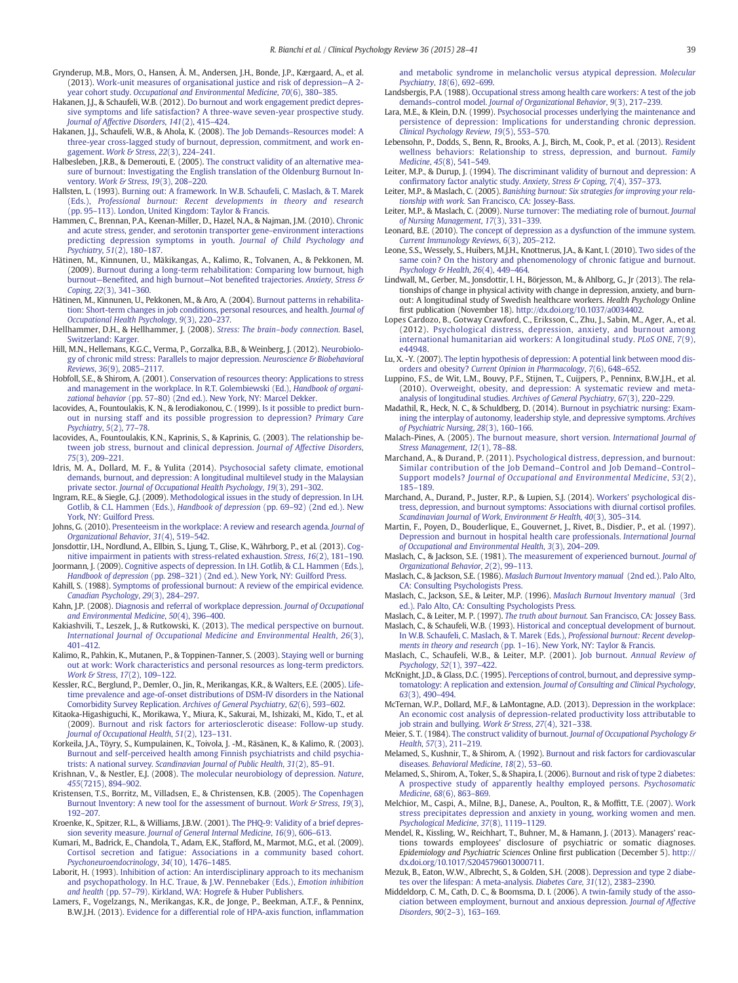- <span id="page-11-0"></span>Grynderup, M.B., Mors, O., Hansen, Å. M., Andersen, J.H., Bonde, J.P., Kærgaard, A., et al. (2013). [Work-unit measures of organisational justice and risk of depression](http://refhub.elsevier.com/S0272-7358(15)00017-3/rf0215)—A 2 year cohort study. [Occupational and Environmental Medicine](http://refhub.elsevier.com/S0272-7358(15)00017-3/rf0215), 70(6), 380–385.
- Hakanen, J.J., & Schaufeli, W.B. (2012). [Do burnout and work engagement predict depres](http://refhub.elsevier.com/S0272-7358(15)00017-3/rf0220)[sive symptoms and life satisfaction? A three-wave seven-year prospective study.](http://refhub.elsevier.com/S0272-7358(15)00017-3/rf0220) [Journal of Affective Disorders](http://refhub.elsevier.com/S0272-7358(15)00017-3/rf0220), 141(2), 415–424.
- Hakanen, J.J., Schaufeli, W.B., & Ahola, K. (2008). The Job Demands–[Resources model: A](http://refhub.elsevier.com/S0272-7358(15)00017-3/rf0225) [three-year cross-lagged study of burnout, depression, commitment, and work en](http://refhub.elsevier.com/S0272-7358(15)00017-3/rf0225)gagement. [Work & Stress](http://refhub.elsevier.com/S0272-7358(15)00017-3/rf0225), 22(3), 224–241. Halbesleben, J.R.B., & Demerouti, E. (2005). [The construct validity of an alternative mea-](http://refhub.elsevier.com/S0272-7358(15)00017-3/rf0230)
- [sure of burnout: Investigating the English translation of the Oldenburg Burnout In-](http://refhub.elsevier.com/S0272-7358(15)00017-3/rf0230)ventory. [Work & Stress](http://refhub.elsevier.com/S0272-7358(15)00017-3/rf0230), 19(3), 208-220.
- Hallsten, L. (1993). [Burning out: A framework. In W.B. Schaufeli, C. Maslach, & T. Marek](http://refhub.elsevier.com/S0272-7358(15)00017-3/rf0235) (Eds.), [Professional burnout: Recent developments in theory and research](http://refhub.elsevier.com/S0272-7358(15)00017-3/rf0235) (pp. 95–[113\). London, United Kingdom: Taylor & Francis.](http://refhub.elsevier.com/S0272-7358(15)00017-3/rf0235)
- Hammen, C., Brennan, P.A., Keenan-Miller, D., Hazel, N.A., & Najman, J.M. (2010). [Chronic](http://refhub.elsevier.com/S0272-7358(15)00017-3/rf0240) [and acute stress, gender, and serotonin transporter gene](http://refhub.elsevier.com/S0272-7358(15)00017-3/rf0240)–environment interactions [predicting depression symptoms in youth.](http://refhub.elsevier.com/S0272-7358(15)00017-3/rf0240) Journal of Child Psychology and [Psychiatry](http://refhub.elsevier.com/S0272-7358(15)00017-3/rf0240), 51(2), 180–187.
- Hätinen, M., Kinnunen, U., Mäkikangas, A., Kalimo, R., Tolvanen, A., & Pekkonen, M. (2009). [Burnout during a long-term rehabilitation: Comparing low burnout, high](http://refhub.elsevier.com/S0272-7358(15)00017-3/rf0245) burnout—Benefi[ted, and high burnout](http://refhub.elsevier.com/S0272-7358(15)00017-3/rf0245)—Not benefited trajectories. Anxiety, Stress & Coping, 22[\(3\), 341](http://refhub.elsevier.com/S0272-7358(15)00017-3/rf0245)–360.
- Hätinen, M., Kinnunen, U., Pekkonen, M., & Aro, A. (2004). [Burnout patterns in rehabilita](http://refhub.elsevier.com/S0272-7358(15)00017-3/rf9120)[tion: Short-term changes in job conditions, personal resources, and health.](http://refhub.elsevier.com/S0272-7358(15)00017-3/rf9120) Journal of [Occupational Health Psychology](http://refhub.elsevier.com/S0272-7358(15)00017-3/rf9120), 9(3), 220–237.
- Hellhammer, D.H., & Hellhammer, J. (2008). Stress: The brain–[body connection.](http://refhub.elsevier.com/S0272-7358(15)00017-3/rf0250) Basel, [Switzerland: Karger.](http://refhub.elsevier.com/S0272-7358(15)00017-3/rf0250)
- Hill, M.N., Hellemans, K.G.C., Verma, P., Gorzalka, B.B., & Weinberg, J. (2012). [Neurobiolo](http://refhub.elsevier.com/S0272-7358(15)00017-3/rf0255)[gy of chronic mild stress: Parallels to major depression.](http://refhub.elsevier.com/S0272-7358(15)00017-3/rf0255) Neuroscience & Biobehavioral Reviews, 36[\(9\), 2085](http://refhub.elsevier.com/S0272-7358(15)00017-3/rf0255)–2117.
- Hobfoll, S.E., & Shirom, A. (2001). [Conservation of resources theory: Applications to stress](http://refhub.elsevier.com/S0272-7358(15)00017-3/rf0260) [and management in the workplace. In R.T. Golembiewski \(Ed.\),](http://refhub.elsevier.com/S0272-7358(15)00017-3/rf0260) Handbook of organizational behavior (pp. 57–[80\) \(2nd ed.\). New York, NY: Marcel Dekker.](http://refhub.elsevier.com/S0272-7358(15)00017-3/rf0260)
- Iacovides, A., Fountoulakis, K. N., & Ierodiakonou, C. (1999). [Is it possible to predict burn](http://refhub.elsevier.com/S0272-7358(15)00017-3/rf9150)[out in nursing staff and its possible progression to depression?](http://refhub.elsevier.com/S0272-7358(15)00017-3/rf9150) Primary Care [Psychiatry](http://refhub.elsevier.com/S0272-7358(15)00017-3/rf9150), 5(2), 77–78.
- Iacovides, A., Fountoulakis, K.N., Kaprinis, S., & Kaprinis, G. (2003). [The relationship be](http://refhub.elsevier.com/S0272-7358(15)00017-3/rf0265)[tween job stress, burnout and clinical depression.](http://refhub.elsevier.com/S0272-7358(15)00017-3/rf0265) Journal of Affective Disorders, 75[\(3\), 209](http://refhub.elsevier.com/S0272-7358(15)00017-3/rf0265)–221.
- Idris, M. A., Dollard, M. F., & Yulita (2014). [Psychosocial safety climate, emotional](http://refhub.elsevier.com/S0272-7358(15)00017-3/rf9160) [demands, burnout, and depression: A longitudinal multilevel study in the Malaysian](http://refhub.elsevier.com/S0272-7358(15)00017-3/rf9160) private sector. [Journal of Occupational Health Psychology](http://refhub.elsevier.com/S0272-7358(15)00017-3/rf9160), 19(3), 291-302.
- Ingram, R.E., & Siegle, G.J. (2009). [Methodological issues in the study of depression. In I.H.](http://refhub.elsevier.com/S0272-7358(15)00017-3/rf0270) [Gotlib, & C.L. Hammen \(Eds.\),](http://refhub.elsevier.com/S0272-7358(15)00017-3/rf0270) Handbook of depression (pp. 69–92) (2nd ed.). New [York, NY: Guilford Press.](http://refhub.elsevier.com/S0272-7358(15)00017-3/rf0270)
- Johns, G. (2010). [Presenteeism in the workplace: A review and research agenda.](http://refhub.elsevier.com/S0272-7358(15)00017-3/rf0275) Journal of [Organizational Behavior](http://refhub.elsevier.com/S0272-7358(15)00017-3/rf0275), 31(4), 519–542.
- Jonsdottir, I.H., Nordlund, A., Ellbin, S., Ljung, T., Glise, K., Währborg, P., et al. (2013). [Cog](http://refhub.elsevier.com/S0272-7358(15)00017-3/rf0280)[nitive impairment in patients with stress-related exhaustion.](http://refhub.elsevier.com/S0272-7358(15)00017-3/rf0280) Stress, 16(2), 181–190.
- Joormann, J. (2009). [Cognitive aspects of depression. In I.H. Gotlib, & C.L. Hammen \(Eds.\),](http://refhub.elsevier.com/S0272-7358(15)00017-3/rf0285) Handbook of depression (pp. 298-[321\) \(2nd ed.\). New York, NY: Guilford Press.](http://refhub.elsevier.com/S0272-7358(15)00017-3/rf0285)
- Kahill, S. (1988). [Symptoms of professional burnout: A review of the empirical evidence.](http://refhub.elsevier.com/S0272-7358(15)00017-3/rf0290) [Canadian Psychology](http://refhub.elsevier.com/S0272-7358(15)00017-3/rf0290), 29(3), 284–297.
- Kahn, J.P. (2008). [Diagnosis and referral of workplace depression.](http://refhub.elsevier.com/S0272-7358(15)00017-3/rf0295) Journal of Occupational [and Environmental Medicine](http://refhub.elsevier.com/S0272-7358(15)00017-3/rf0295), 50(4), 396–400.
- Kakiashvili, T., Leszek, J., & Rutkowski, K. (2013). [The medical perspective on burnout.](http://refhub.elsevier.com/S0272-7358(15)00017-3/rf0300) [International Journal of Occupational Medicine and Environmental Health](http://refhub.elsevier.com/S0272-7358(15)00017-3/rf0300), 26(3), 401–[412.](http://refhub.elsevier.com/S0272-7358(15)00017-3/rf0300)
- Kalimo, R., Pahkin, K., Mutanen, P., & Toppinen-Tanner, S. (2003). [Staying well or burning](http://refhub.elsevier.com/S0272-7358(15)00017-3/rf0305) out [at work: Work characteristics and personal resources as long-term predictors.](http://refhub.elsevier.com/S0272-7358(15)00017-3/rf0305) [Work & Stress](http://refhub.elsevier.com/S0272-7358(15)00017-3/rf0305), 17(2), 109–122.
- Kessler, R.C., Berglund, P., Demler, O., Jin, R., Merikangas, K.R., & Walters, E.E. (2005). [Life](http://refhub.elsevier.com/S0272-7358(15)00017-3/rf0310)[time prevalence and age-of-onset distributions of DSM-IV disorders in the National](http://refhub.elsevier.com/S0272-7358(15)00017-3/rf0310) [Comorbidity Survey Replication.](http://refhub.elsevier.com/S0272-7358(15)00017-3/rf0310) Archives of General Psychiatry, 62(6), 593–602.
- Kitaoka-Higashiguchi, K., Morikawa, Y., Miura, K., Sakurai, M., Ishizaki, M., Kido, T., et al. (2009). [Burnout and risk factors for arteriosclerotic disease: Follow-up study.](http://refhub.elsevier.com/S0272-7358(15)00017-3/rf0315) [Journal of Occupational Health](http://refhub.elsevier.com/S0272-7358(15)00017-3/rf0315), 51(2), 123–131.
- Korkeila, J.A., Töyry, S., Kumpulainen, K., Toivola, J. -M., Räsänen, K., & Kalimo, R. (2003). [Burnout and self-perceived health among Finnish psychiatrists and child psychia](http://refhub.elsevier.com/S0272-7358(15)00017-3/rf0320)trists: A national survey. [Scandinavian Journal of Public Health](http://refhub.elsevier.com/S0272-7358(15)00017-3/rf0320), 31(2), 85–91.
- Krishnan, V., & Nestler, E.J. (2008). [The molecular neurobiology of depression.](http://refhub.elsevier.com/S0272-7358(15)00017-3/rf0325) Nature, 455[\(7215\), 894](http://refhub.elsevier.com/S0272-7358(15)00017-3/rf0325)–902.
- Kristensen, T.S., Borritz, M., Villadsen, E., & Christensen, K.B. (2005). [The Copenhagen](http://refhub.elsevier.com/S0272-7358(15)00017-3/rf0330) [Burnout Inventory: A new tool for the assessment of burnout.](http://refhub.elsevier.com/S0272-7358(15)00017-3/rf0330) Work & Stress, 19(3), 192–[207.](http://refhub.elsevier.com/S0272-7358(15)00017-3/rf0330)
- Kroenke, K., Spitzer, R.L., & Williams, J.B.W. (2001). [The PHQ-9: Validity of a brief depres](http://refhub.elsevier.com/S0272-7358(15)00017-3/rf0335)sion severity measure. [Journal of General Internal Medicine](http://refhub.elsevier.com/S0272-7358(15)00017-3/rf0335), 16(9), 606–613.
- Kumari, M., Badrick, E., Chandola, T., Adam, E.K., Stafford, M., Marmot, M.G., et al. (2009). [Cortisol secretion and fatigue: Associations in a community based cohort.](http://refhub.elsevier.com/S0272-7358(15)00017-3/rf0340) [Psychoneuroendocrinology](http://refhub.elsevier.com/S0272-7358(15)00017-3/rf0340), 34(10), 1476–1485.
- Laborit, H. (1993). [Inhibition of action: An interdisciplinary approach to its mechanism](http://refhub.elsevier.com/S0272-7358(15)00017-3/rf0345) [and psychopathology. In H.C. Traue, & J.W. Pennebaker \(Eds.\),](http://refhub.elsevier.com/S0272-7358(15)00017-3/rf0345) Emotion inhibition and health (pp. 57–[79\). Kirkland, WA: Hogrefe & Huber Publishers.](http://refhub.elsevier.com/S0272-7358(15)00017-3/rf0345)
- Lamers, F., Vogelzangs, N., Merikangas, K.R., de Jonge, P., Beekman, A.T.F., & Penninx, B.W.J.H. (2013). [Evidence for a differential role of HPA-axis function, in](http://refhub.elsevier.com/S0272-7358(15)00017-3/rf0915)flammation

[and metabolic syndrome in melancholic versus atypical depression.](http://refhub.elsevier.com/S0272-7358(15)00017-3/rf0915) Molecular [Psychiatry](http://refhub.elsevier.com/S0272-7358(15)00017-3/rf0915), 18(6), 692–699.

- Landsbergis, P.A. (1988). [Occupational stress among health care workers: A test of the job](http://refhub.elsevier.com/S0272-7358(15)00017-3/rf0355) demands–control model. [Journal of Organizational Behavior](http://refhub.elsevier.com/S0272-7358(15)00017-3/rf0355), 9(3), 217–239.
- Lara, M.E., & Klein, D.N. (1999). [Psychosocial processes underlying the maintenance and](http://refhub.elsevier.com/S0272-7358(15)00017-3/rf0360) [persistence of depression: Implications for understanding chronic depression.](http://refhub.elsevier.com/S0272-7358(15)00017-3/rf0360) [Clinical Psychology Review](http://refhub.elsevier.com/S0272-7358(15)00017-3/rf0360), 19(5), 553–570.
- Lebensohn, P., Dodds, S., Benn, R., Brooks, A. J., Birch, M., Cook, P., et al. (2013). [Resident](http://refhub.elsevier.com/S0272-7358(15)00017-3/rf9170) [wellness behaviors: Relationship to stress, depression, and burnout.](http://refhub.elsevier.com/S0272-7358(15)00017-3/rf9170) Family [Medicine](http://refhub.elsevier.com/S0272-7358(15)00017-3/rf9170), 45(8), 541–549.
- Leiter, M.P., & Durup, J. (1994). [The discriminant validity of burnout and depression: A](http://refhub.elsevier.com/S0272-7358(15)00017-3/rf0365) confi[rmatory factor analytic study.](http://refhub.elsevier.com/S0272-7358(15)00017-3/rf0365) Anxiety, Stress & Coping, 7(4), 357-373.
- Leiter, M.P., & Maslach, C. (2005). [Banishing burnout: Six strategies for improving your rela](http://refhub.elsevier.com/S0272-7358(15)00017-3/rf0370)tionship with work. [San Francisco, CA: Jossey-Bass.](http://refhub.elsevier.com/S0272-7358(15)00017-3/rf0370)
- Leiter, M.P., & Maslach, C. (2009). [Nurse turnover: The mediating role of burnout.](http://refhub.elsevier.com/S0272-7358(15)00017-3/rf0375) Journal [of Nursing Management](http://refhub.elsevier.com/S0272-7358(15)00017-3/rf0375), 17(3), 331–339.
- Leonard, B.E. (2010). [The concept of depression as a dysfunction of the immune system.](http://refhub.elsevier.com/S0272-7358(15)00017-3/rf0380) [Current Immunology Reviews](http://refhub.elsevier.com/S0272-7358(15)00017-3/rf0380), 6(3), 205–212.
- Leone, S.S., Wessely, S., Huibers, M.J.H., Knottnerus, J.A., & Kant, I. (2010). [Two sides of the](http://refhub.elsevier.com/S0272-7358(15)00017-3/rf0385) [same coin? On the history and phenomenology of chronic fatigue and burnout.](http://refhub.elsevier.com/S0272-7358(15)00017-3/rf0385) [Psychology & Health](http://refhub.elsevier.com/S0272-7358(15)00017-3/rf0385), 26(4), 449–464.
- Lindwall, M., Gerber, M., Jonsdottir, I. H., Börjesson, M., & Ahlborg, G., Jr (2013). The relationships of change in physical activity with change in depression, anxiety, and burnout: A longitudinal study of Swedish healthcare workers. Health Psychology Online first publication (November 18). [http://dx.doi.org/10.1037/a0034402](http://dx.doi.org/).
- Lopes Cardozo, B., Gotway Crawford, C., Eriksson, C., Zhu, J., Sabin, M., Ager, A., et al. (2012). [Psychological distress, depression, anxiety, and burnout among](http://refhub.elsevier.com/S0272-7358(15)00017-3/rf0390) [international humanitarian aid workers: A longitudinal study.](http://refhub.elsevier.com/S0272-7358(15)00017-3/rf0390) PLoS ONE, 7(9), [e44948.](http://refhub.elsevier.com/S0272-7358(15)00017-3/rf0390)
- Lu, X. -Y. (2007). [The leptin hypothesis of depression: A potential link between mood dis](http://refhub.elsevier.com/S0272-7358(15)00017-3/rf0395)orders and obesity? [Current Opinion in Pharmacology](http://refhub.elsevier.com/S0272-7358(15)00017-3/rf0395), 7(6), 648–652.
- Luppino, F.S., de Wit, L.M., Bouvy, P.F., Stijnen, T., Cuijpers, P., Penninx, B.W.J.H., et al. (2010). [Overweight, obesity, and depression: A systematic review and meta](http://refhub.elsevier.com/S0272-7358(15)00017-3/rf0920)[analysis of longitudinal studies.](http://refhub.elsevier.com/S0272-7358(15)00017-3/rf0920) Archives of General Psychiatry, 67(3), 220–229.
- Madathil, R., Heck, N. C., & Schuldberg, D. (2014). [Burnout in psychiatric nursing: Exam](http://refhub.elsevier.com/S0272-7358(15)00017-3/rf9200)[ining the interplay of autonomy, leadership style, and depressive symptoms.](http://refhub.elsevier.com/S0272-7358(15)00017-3/rf9200) Archives [of Psychiatric Nursing](http://refhub.elsevier.com/S0272-7358(15)00017-3/rf9200), 28(3), 160–166.
- Malach-Pines, A. (2005). [The burnout measure, short version.](http://refhub.elsevier.com/S0272-7358(15)00017-3/rf0405) International Journal of [Stress Management](http://refhub.elsevier.com/S0272-7358(15)00017-3/rf0405), 12(1), 78–88.
- Marchand, A., & Durand, P. (2011). Psychological distress, [depression, and burnout:](http://refhub.elsevier.com/S0272-7358(15)00017-3/rf0410) [Similar contribution of the Job Demand](http://refhub.elsevier.com/S0272-7358(15)00017-3/rf0410)–Control and Job Demand–Control– Support models? [Journal of Occupational and Environmental Medicine](http://refhub.elsevier.com/S0272-7358(15)00017-3/rf0410), 53(2), 185–[189.](http://refhub.elsevier.com/S0272-7358(15)00017-3/rf0410)
- Marchand, A., Durand, P., Juster, R.P., & Lupien, S.J. (2014). [Workers' psychological dis](http://refhub.elsevier.com/S0272-7358(15)00017-3/rf0415)[tress, depression, and burnout symptoms: Associations with diurnal cortisol pro](http://refhub.elsevier.com/S0272-7358(15)00017-3/rf0415)files. [Scandinavian Journal of Work, Environment & Health](http://refhub.elsevier.com/S0272-7358(15)00017-3/rf0415), 40(3), 305-314
- Martin, F., Poyen, D., Bouderlique, E., Gouvernet, J., Rivet, B., Disdier, P., et al. (1997). [Depression and burnout in hospital health care professionals.](http://refhub.elsevier.com/S0272-7358(15)00017-3/rf9205) International Journal [of Occupational and Environmental Health](http://refhub.elsevier.com/S0272-7358(15)00017-3/rf9205), 3(3), 204–209.
- Maslach, C., & Jackson, S.E. (1981). [The measurement of experienced burnout.](http://refhub.elsevier.com/S0272-7358(15)00017-3/rf0420) Journal of [Organizational Behavior](http://refhub.elsevier.com/S0272-7358(15)00017-3/rf0420), 2(2), 99–113.
- Maslach, C., & Jackson, S.E. (1986). [Maslach Burnout Inventory manual](http://refhub.elsevier.com/S0272-7358(15)00017-3/rf0425) (2nd ed.). Palo Alto, [CA: Consulting Psychologists Press.](http://refhub.elsevier.com/S0272-7358(15)00017-3/rf0425)
- Maslach, C., Jackson, S.E., & Leiter, M.P. (1996). [Maslach Burnout Inventory manual](http://refhub.elsevier.com/S0272-7358(15)00017-3/rf0430) (3rd [ed.\). Palo Alto, CA: Consulting Psychologists Press.](http://refhub.elsevier.com/S0272-7358(15)00017-3/rf0430)

Maslach, C., & Leiter, M. P. (1997). The truth about burnout. [San Francisco, CA: Jossey Bass.](http://refhub.elsevier.com/S0272-7358(15)00017-3/rf2020)

- Maslach, C., & Schaufeli, W.B. (1993). [Historical and conceptual development of burnout.](http://refhub.elsevier.com/S0272-7358(15)00017-3/rf0435) [In W.B. Schaufeli, C. Maslach, & T. Marek \(Eds.\),](http://refhub.elsevier.com/S0272-7358(15)00017-3/rf0435) Professional burnout: Recent developments in theory and research (pp. 1–[16\). New York, NY: Taylor & Francis.](http://refhub.elsevier.com/S0272-7358(15)00017-3/rf0435)
- Maslach, C., Schaufeli, W.B., & Leiter, M.P. (2001). Job burnout. [Annual Review of](http://refhub.elsevier.com/S0272-7358(15)00017-3/rf0440) [Psychology](http://refhub.elsevier.com/S0272-7358(15)00017-3/rf0440), 52(1), 397–422.
- McKnight, J.D., & Glass, D.C. (1995). [Perceptions of control, burnout, and depressive symp](http://refhub.elsevier.com/S0272-7358(15)00017-3/rf0445)tomatology: A replication and extension. [Journal of Consulting and Clinical Psychology](http://refhub.elsevier.com/S0272-7358(15)00017-3/rf0445), 63[\(3\), 490](http://refhub.elsevier.com/S0272-7358(15)00017-3/rf0445)–494.
- McTernan, W.P., Dollard, M.F., & LaMontagne, A.D. (2013). [Depression in the workplace:](http://refhub.elsevier.com/S0272-7358(15)00017-3/rf0450) [An economic cost analysis of depression-related productivity loss attributable to](http://refhub.elsevier.com/S0272-7358(15)00017-3/rf0450) [job strain and bullying.](http://refhub.elsevier.com/S0272-7358(15)00017-3/rf0450) Work & Stress,  $27(4)$ ,  $321-338$ .
- Meier, S. T. (1984). The construct validity of burnout. [Journal of Occupational Psychology &](http://refhub.elsevier.com/S0272-7358(15)00017-3/rf9300) Health, 57[\(3\), 211](http://refhub.elsevier.com/S0272-7358(15)00017-3/rf9300)–219.
- Melamed, S., Kushnir, T., & Shirom, A. (1992). [Burnout and risk factors for cardiovascular](http://refhub.elsevier.com/S0272-7358(15)00017-3/rf0455) diseases. [Behavioral Medicine](http://refhub.elsevier.com/S0272-7358(15)00017-3/rf0455), 18(2), 53–60.
- Melamed, S., Shirom, A., Toker, S., & Shapira, I. (2006). [Burnout and risk of type 2 diabetes:](http://refhub.elsevier.com/S0272-7358(15)00017-3/rf0460) [A prospective study of apparently healthy employed persons.](http://refhub.elsevier.com/S0272-7358(15)00017-3/rf0460) Psychosomatic [Medicine](http://refhub.elsevier.com/S0272-7358(15)00017-3/rf0460), 68(6), 863–869.
- Melchior, M., Caspi, A., Milne, B.J., Danese, A., Poulton, R., & Moffitt, T.E. (2007). [Work](http://refhub.elsevier.com/S0272-7358(15)00017-3/rf0465) [stress precipitates depression and anxiety in young, working women and men.](http://refhub.elsevier.com/S0272-7358(15)00017-3/rf0465) [Psychological Medicine](http://refhub.elsevier.com/S0272-7358(15)00017-3/rf0465), 37(8), 1119–1129.
- Mendel, R., Kissling, W., Reichhart, T., Buhner, M., & Hamann, J. (2013). Managers' reactions towards employees' disclosure of psychiatric or somatic diagnoses. Epidemiology and Psychiatric Sciences Online first publication (December 5). [http://](http://dx.doi.org/) [dx.doi.org/10.1017/S2045796013000711.](http://dx.doi.org/)
- Mezuk, B., Eaton, W.W., Albrecht, S., & Golden, S.H. (2008). [Depression and type 2 diabe](http://refhub.elsevier.com/S0272-7358(15)00017-3/rf0470)[tes over the lifespan: A meta-analysis.](http://refhub.elsevier.com/S0272-7358(15)00017-3/rf0470) Diabetes Care, 31(12), 2383–2390.
- Middeldorp, C. M., Cath, D. C., & Boomsma, D. I. (2006). [A twin-family study of the asso](http://refhub.elsevier.com/S0272-7358(15)00017-3/rf9310)[ciation between employment, burnout and anxious depression.](http://refhub.elsevier.com/S0272-7358(15)00017-3/rf9310) Journal of Affective [Disorders](http://refhub.elsevier.com/S0272-7358(15)00017-3/rf9310), 90(2–3), 163–169.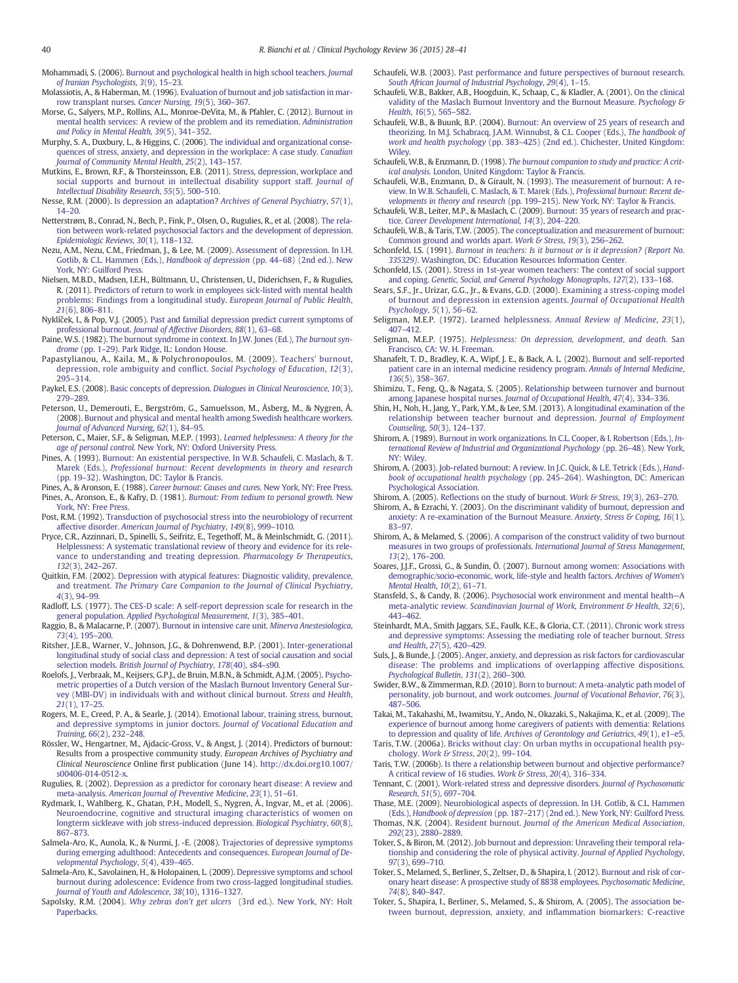<span id="page-12-0"></span>Mohammadi, S. (2006). [Burnout and psychological health in high school teachers.](http://refhub.elsevier.com/S0272-7358(15)00017-3/rf9320) Journal [of Iranian Psychologists](http://refhub.elsevier.com/S0272-7358(15)00017-3/rf9320), 3(9), 15–23.

Molassiotis, A., & Haberman, M. (1996). [Evaluation of burnout and job satisfaction in mar](http://refhub.elsevier.com/S0272-7358(15)00017-3/rf9315)[row transplant nurses.](http://refhub.elsevier.com/S0272-7358(15)00017-3/rf9315) Cancer Nursing, 19(5), 360–367.

- Morse, G., Salyers, M.P., Rollins, A.L., Monroe-DeVita, M., & Pfahler, C. (2012). [Burnout in](http://refhub.elsevier.com/S0272-7358(15)00017-3/rf0475) [mental health services: A review of the problem and its remediation.](http://refhub.elsevier.com/S0272-7358(15)00017-3/rf0475) Administration [and Policy in Mental Health](http://refhub.elsevier.com/S0272-7358(15)00017-3/rf0475), 39(5), 341–352.
- Murphy, S. A., Duxbury, L., & Higgins, C. (2006). [The individual and organizational conse](http://refhub.elsevier.com/S0272-7358(15)00017-3/rf9325)[quences of stress, anxiety, and depression in the workplace: A case study.](http://refhub.elsevier.com/S0272-7358(15)00017-3/rf9325) Canadian [Journal of Community Mental Health](http://refhub.elsevier.com/S0272-7358(15)00017-3/rf9325), 25(2), 143–157.
- Mutkins, E., Brown, R.F., & Thorsteinsson, E.B. (2011). [Stress, depression, workplace and](http://refhub.elsevier.com/S0272-7358(15)00017-3/rf0480) [social supports and burnout in intellectual disability support staff.](http://refhub.elsevier.com/S0272-7358(15)00017-3/rf0480) Journal of [Intellectual Disability Research](http://refhub.elsevier.com/S0272-7358(15)00017-3/rf0480), 55(5), 500–510.
- Nesse, R.M. (2000). Is depression an adaptation? [Archives of General Psychiatry](http://refhub.elsevier.com/S0272-7358(15)00017-3/rf0485), 57(1), 14–[20.](http://refhub.elsevier.com/S0272-7358(15)00017-3/rf0485)
- Netterstrøm, B., Conrad, N., Bech, P., Fink, P., Olsen, O., Rugulies, R., et al. (2008). [The rela](http://refhub.elsevier.com/S0272-7358(15)00017-3/rf0490)[tion between work-related psychosocial factors and the development of depression.](http://refhub.elsevier.com/S0272-7358(15)00017-3/rf0490) [Epidemiologic Reviews](http://refhub.elsevier.com/S0272-7358(15)00017-3/rf0490), 30(1), 118–132.
- Nezu, A.M., Nezu, C.M., Friedman, J., & Lee, M. (2009). [Assessment of depression. In I.H.](http://refhub.elsevier.com/S0272-7358(15)00017-3/rf0495) [Gotlib, & C.L. Hammen \(Eds.\),](http://refhub.elsevier.com/S0272-7358(15)00017-3/rf0495) Handbook of depression (pp. 44–68) (2nd ed.). New [York, NY: Guilford Press.](http://refhub.elsevier.com/S0272-7358(15)00017-3/rf0495)
- Nielsen, M.B.D., Madsen, I.E.H., Bültmann, U., Christensen, U., Diderichsen, F., & Rugulies, R. (2011). [Predictors of return to work in employees sick-listed with mental health](http://refhub.elsevier.com/S0272-7358(15)00017-3/rf0500) [problems: Findings from a longitudinal study.](http://refhub.elsevier.com/S0272-7358(15)00017-3/rf0500) European Journal of Public Health, 21[\(6\), 806](http://refhub.elsevier.com/S0272-7358(15)00017-3/rf0500)–811.
- Nyklíček, I., & Pop, V.J. (2005). [Past and familial depression predict current symptoms of](http://refhub.elsevier.com/S0272-7358(15)00017-3/rf0505) professional burnout. [Journal of Affective Disorders](http://refhub.elsevier.com/S0272-7358(15)00017-3/rf0505), 88(1), 63–68.
- Paine, W.S. (1982). [The burnout syndrome in context. In J.W. Jones \(Ed.\),](http://refhub.elsevier.com/S0272-7358(15)00017-3/rf0510) The burnout syndrome (pp. 1–[29\). Park Ridge, IL: London House.](http://refhub.elsevier.com/S0272-7358(15)00017-3/rf0510)
- Papastylianou, A., Kaila, M., & Polychronopoulos, M. (2009). [Teachers' burnout,](http://refhub.elsevier.com/S0272-7358(15)00017-3/rf9330) [depression, role ambiguity and con](http://refhub.elsevier.com/S0272-7358(15)00017-3/rf9330)flict. Social Psychology of Education, 12(3), 295–[314.](http://refhub.elsevier.com/S0272-7358(15)00017-3/rf9330)
- Paykel, E.S. (2008). Basic concepts of depression. [Dialogues in Clinical Neuroscience](http://refhub.elsevier.com/S0272-7358(15)00017-3/rf0515), 10(3), 279–[289.](http://refhub.elsevier.com/S0272-7358(15)00017-3/rf0515)
- Peterson, U., Demerouti, E., Bergström, G., Samuelsson, M., Åsberg, M., & Nygren, Å. (2008). [Burnout and physical and mental health among Swedish healthcare workers.](http://refhub.elsevier.com/S0272-7358(15)00017-3/rf0525) [Journal of Advanced Nursing](http://refhub.elsevier.com/S0272-7358(15)00017-3/rf0525), 62(1), 84–95.
- Peterson, C., Maier, S.F., & Seligman, M.E.P. (1993). [Learned helplessness: A theory for the](http://refhub.elsevier.com/S0272-7358(15)00017-3/rf0520) age of personal control. [New York, NY: Oxford University Press.](http://refhub.elsevier.com/S0272-7358(15)00017-3/rf0520)
- Pines, A. (1993). [Burnout: An existential perspective. In W.B. Schaufeli, C. Maslach, & T.](http://refhub.elsevier.com/S0272-7358(15)00017-3/rf0530) Marek (Eds.), [Professional burnout: Recent developments in theory and research](http://refhub.elsevier.com/S0272-7358(15)00017-3/rf0530) (pp. 19–[32\). Washington, DC: Taylor & Francis.](http://refhub.elsevier.com/S0272-7358(15)00017-3/rf0530)
- Pines, A., & Aronson, E. (1988). [Career burnout: Causes and cures.](http://refhub.elsevier.com/S0272-7358(15)00017-3/rf0535) New York, NY: Free Press. Pines, A., Aronson, E., & Kafry, D. (1981). [Burnout: From tedium to personal growth.](http://refhub.elsevier.com/S0272-7358(15)00017-3/rf0540) New [York, NY: Free Press.](http://refhub.elsevier.com/S0272-7358(15)00017-3/rf0540)
- Post, R.M. (1992). [Transduction of psychosocial stress into the neurobiology of recurrent](http://refhub.elsevier.com/S0272-7358(15)00017-3/rf0545) affective disorder. [American Journal of Psychiatry](http://refhub.elsevier.com/S0272-7358(15)00017-3/rf0545), 149(8), 999–1010.
- Pryce, C.R., Azzinnari, D., Spinelli, S., Seifritz, E., Tegethoff, M., & Meinlschmidt, G. (2011). [Helplessness: A systematic translational review of theory and evidence for its rele](http://refhub.elsevier.com/S0272-7358(15)00017-3/rf0550)[vance to understanding and treating depression.](http://refhub.elsevier.com/S0272-7358(15)00017-3/rf0550) Pharmacology & Therapeutics, 132[\(3\), 242](http://refhub.elsevier.com/S0272-7358(15)00017-3/rf0550)–267.
- Quitkin, F.M. (2002). [Depression with atypical features: Diagnostic validity, prevalence,](http://refhub.elsevier.com/S0272-7358(15)00017-3/rf0555) and treatment. [The Primary Care Companion to the Journal of Clinical Psychiatry](http://refhub.elsevier.com/S0272-7358(15)00017-3/rf0555), 4[\(3\), 94](http://refhub.elsevier.com/S0272-7358(15)00017-3/rf0555)–99.
- Radloff, L.S. (1977). [The CES-D scale: A self-report depression scale for research in the](http://refhub.elsevier.com/S0272-7358(15)00017-3/rf0560) general population. [Applied Psychological Measurement](http://refhub.elsevier.com/S0272-7358(15)00017-3/rf0560), 1(3), 385–401.
- Raggio, B., & Malacarne, P. (2007). [Burnout in intensive care unit.](http://refhub.elsevier.com/S0272-7358(15)00017-3/rf9345) Minerva Anestesiologica, 73[\(4\), 195](http://refhub.elsevier.com/S0272-7358(15)00017-3/rf9345)–200.
- Ritsher, J.E.B., Warner, V., Johnson, J.G., & Dohrenwend, B.P. (2001). [Inter-generational](http://refhub.elsevier.com/S0272-7358(15)00017-3/rf0565) [longitudinal study of social class and depression: A test of social causation and social](http://refhub.elsevier.com/S0272-7358(15)00017-3/rf0565) selection models. [British Journal of Psychiatry](http://refhub.elsevier.com/S0272-7358(15)00017-3/rf0565), 178(40), s84–s90.
- Roelofs, J., Verbraak, M., Keijsers, G.P.J., de Bruin, M.B.N., & Schmidt, A.J.M. (2005). [Psycho](http://refhub.elsevier.com/S0272-7358(15)00017-3/rf0570)[metric properties of a Dutch version of the Maslach Burnout Inventory General Sur](http://refhub.elsevier.com/S0272-7358(15)00017-3/rf0570)[vey \(MBI-DV\) in individuals with and without clinical burnout.](http://refhub.elsevier.com/S0272-7358(15)00017-3/rf0570) Stress and Health, 21[\(1\), 17](http://refhub.elsevier.com/S0272-7358(15)00017-3/rf0570)–25.
- Rogers, M. E., Creed, P. A., & Searle, J. (2014). [Emotional labour, training stress, burnout,](http://refhub.elsevier.com/S0272-7358(15)00017-3/rf9400) [and depressive symptoms in junior doctors.](http://refhub.elsevier.com/S0272-7358(15)00017-3/rf9400) Journal of Vocational Education and Training, 66[\(2\), 232](http://refhub.elsevier.com/S0272-7358(15)00017-3/rf9400)–248.
- Rössler, W., Hengartner, M., Ajdacic-Gross, V., & Angst, J. (2014). Predictors of burnout: Results from a prospective community study. European Archives of Psychiatry and Clinical Neuroscience Online first publication (June 14). [http://dx.doi.org10.1007/](http://dx.doi.org/) [s00406-014-0512-x.](http://dx.doi.org/)
- Rugulies, R. (2002). [Depression as a predictor for coronary heart disease: A review and](http://refhub.elsevier.com/S0272-7358(15)00017-3/rf0575) meta-analysis. [American Journal of Preventive Medicine](http://refhub.elsevier.com/S0272-7358(15)00017-3/rf0575), 23(1), 51–61.
- Rydmark, I., Wahlberg, K., Ghatan, P.H., Modell, S., Nygren, Å., Ingvar, M., et al. (2006). [Neuroendocrine, cognitive and structural imaging characteristics of women on](http://refhub.elsevier.com/S0272-7358(15)00017-3/rf0580) [longterm sickleave with job stress-induced depression.](http://refhub.elsevier.com/S0272-7358(15)00017-3/rf0580) Biological Psychiatry, 60(8), 867–[873.](http://refhub.elsevier.com/S0272-7358(15)00017-3/rf0580)
- Salmela-Aro, K., Aunola, K., & Nurmi, J. -E. (2008). [Trajectories of depressive symptoms](http://refhub.elsevier.com/S0272-7358(15)00017-3/rf0585) [during emerging adulthood: Antecedents and consequences.](http://refhub.elsevier.com/S0272-7358(15)00017-3/rf0585) European Journal of De-[velopmental Psychology](http://refhub.elsevier.com/S0272-7358(15)00017-3/rf0585), 5(4), 439–465.
- Salmela-Aro, K., Savolainen, H., & Holopainen, L. (2009). [Depressive symptoms and school](http://refhub.elsevier.com/S0272-7358(15)00017-3/rf0590) [burnout during adolescence: Evidence from two cross-lagged longitudinal studies.](http://refhub.elsevier.com/S0272-7358(15)00017-3/rf0590) [Journal of Youth and Adolescence](http://refhub.elsevier.com/S0272-7358(15)00017-3/rf0590), 38(10), 1316–1327.
- Sapolsky, R.M. (2004). Why zebras don't get ulcers [\(3rd ed.\). New York, NY: Holt](http://refhub.elsevier.com/S0272-7358(15)00017-3/rf0595) [Paperbacks.](http://refhub.elsevier.com/S0272-7358(15)00017-3/rf0595)
- Schaufeli, W.B. (2003). [Past performance and future perspectives of burnout research.](http://refhub.elsevier.com/S0272-7358(15)00017-3/rf0600) [South African Journal of Industrial Psychology](http://refhub.elsevier.com/S0272-7358(15)00017-3/rf0600), 29(4), 1–15.
- Schaufeli, W.B., Bakker, A.B., Hoogduin, K., Schaap, C., & Kladler, A. (2001). [On the clinical](http://refhub.elsevier.com/S0272-7358(15)00017-3/rf0605) [validity of the Maslach Burnout Inventory and the Burnout Measure.](http://refhub.elsevier.com/S0272-7358(15)00017-3/rf0605) Psychology  $\mathcal G$ Health, 16[\(5\), 565](http://refhub.elsevier.com/S0272-7358(15)00017-3/rf0605)–582.
- Schaufeli, W.B., & Buunk, B.P. (2004). [Burnout: An overview of 25 years of research and](http://refhub.elsevier.com/S0272-7358(15)00017-3/rf0610) [theorizing. In M.J. Schabracq, J.A.M. Winnubst, & C.L. Cooper \(Eds.\),](http://refhub.elsevier.com/S0272-7358(15)00017-3/rf0610) The handbook of work and health psychology (pp. 383–[425\) \(2nd ed.\). Chichester, United Kingdom:](http://refhub.elsevier.com/S0272-7358(15)00017-3/rf0610) **Wiley**
- Schaufeli, W.B., & Enzmann, D. (1998). [The burnout companion to study and practice: A crit](http://refhub.elsevier.com/S0272-7358(15)00017-3/rf0615)ical analysis. [London, United Kingdom: Taylor & Francis.](http://refhub.elsevier.com/S0272-7358(15)00017-3/rf0615)
- Schaufeli, W.B., Enzmann, D., & Girault, N. (1993). [The measurement of burnout: A re](http://refhub.elsevier.com/S0272-7358(15)00017-3/rf0620)[view. In W.B. Schaufeli, C. Maslach, & T. Marek \(Eds.\),](http://refhub.elsevier.com/S0272-7358(15)00017-3/rf0620) Professional burnout: Recent developments in theory and research (pp. 199–[215\). New York, NY: Taylor & Francis.](http://refhub.elsevier.com/S0272-7358(15)00017-3/rf0620)
- Schaufeli, W.B., Leiter, M.P., & Maslach, C. (2009). [Burnout: 35 years of research and prac](http://refhub.elsevier.com/S0272-7358(15)00017-3/rf0625)tice. [Career Development International](http://refhub.elsevier.com/S0272-7358(15)00017-3/rf0625), 14(3), 204–220.
- Schaufeli, W.B., & Taris, T.W. (2005). [The conceptualization and measurement of burnout:](http://refhub.elsevier.com/S0272-7358(15)00017-3/rf0630) [Common ground and worlds apart.](http://refhub.elsevier.com/S0272-7358(15)00017-3/rf0630) Work & Stress, 19(3), 256–262.
- Schonfeld, I.S. (1991). [Burnout in teachers: Is it burnout or is it depression? \(Report No.](http://refhub.elsevier.com/S0272-7358(15)00017-3/rf0635) 335329). [Washington, DC: Education Resources Information Center.](http://refhub.elsevier.com/S0272-7358(15)00017-3/rf0635)
- Schonfeld, I.S. (2001). [Stress in 1st-year women teachers: The context of social support](http://refhub.elsevier.com/S0272-7358(15)00017-3/rf0640) and coping. [Genetic, Social, and General Psychology Monographs](http://refhub.elsevier.com/S0272-7358(15)00017-3/rf0640), 127(2), 133–168.
- Sears, S.F., Jr., Urizar, G.G., Jr., & Evans, G.D. (2000). [Examining a stress-coping model](http://refhub.elsevier.com/S0272-7358(15)00017-3/rf0645) [of burnout and depression in extension agents.](http://refhub.elsevier.com/S0272-7358(15)00017-3/rf0645) Journal of Occupational Health [Psychology](http://refhub.elsevier.com/S0272-7358(15)00017-3/rf0645), 5(1), 56–62.
- Seligman, M.E.P. (1972). Learned helplessness. [Annual Review of Medicine](http://refhub.elsevier.com/S0272-7358(15)00017-3/rf0650), 23(1), 407–[412.](http://refhub.elsevier.com/S0272-7358(15)00017-3/rf0650)
- Seligman, M.E.P. (1975). [Helplessness: On depression, development, and death.](http://refhub.elsevier.com/S0272-7358(15)00017-3/rf0655) San [Francisco, CA: W. H. Freeman.](http://refhub.elsevier.com/S0272-7358(15)00017-3/rf0655)
- Shanafelt, T. D., Bradley, K. A., Wipf, J. E., & Back, A. L. (2002). [Burnout and self-reported](http://refhub.elsevier.com/S0272-7358(15)00017-3/rf9430) [patient care in an internal medicine residency program.](http://refhub.elsevier.com/S0272-7358(15)00017-3/rf9430) Annals of Internal Medicine, 136[\(5\), 358](http://refhub.elsevier.com/S0272-7358(15)00017-3/rf9430)–367.
- Shimizu, T., Feng, Q., & Nagata, S. (2005). [Relationship between turnover and burnout](http://refhub.elsevier.com/S0272-7358(15)00017-3/rf0660) [among Japanese hospital nurses.](http://refhub.elsevier.com/S0272-7358(15)00017-3/rf0660) Journal of Occupational Health, 47(4), 334–336.
- Shin, H., Noh, H., Jang, Y., Park, Y.M., & Lee, S.M. (2013). [A longitudinal examination of the](http://refhub.elsevier.com/S0272-7358(15)00017-3/rf0665) [relationship between teacher burnout and depression.](http://refhub.elsevier.com/S0272-7358(15)00017-3/rf0665) Journal of Employment [Counseling](http://refhub.elsevier.com/S0272-7358(15)00017-3/rf0665), 50(3), 124–137.
- Shirom, A. (1989). [Burnout in work organizations. In C.L. Cooper, & I. Robertson \(Eds.\),](http://refhub.elsevier.com/S0272-7358(15)00017-3/rf0670) In[ternational Review of Industrial and Organizational Psychology](http://refhub.elsevier.com/S0272-7358(15)00017-3/rf0670) (pp. 26–48). New York, [NY: Wiley.](http://refhub.elsevier.com/S0272-7358(15)00017-3/rf0670)
- Shirom, A. (2003). [Job-related burnout: A review. In J.C. Quick, & L.E. Tetrick \(Eds.\),](http://refhub.elsevier.com/S0272-7358(15)00017-3/rf0675) Hand[book of occupational health psychology](http://refhub.elsevier.com/S0272-7358(15)00017-3/rf0675) (pp. 245–264). Washington, DC: American [Psychological Association.](http://refhub.elsevier.com/S0272-7358(15)00017-3/rf0675)
- Shirom, A. (2005). Refl[ections on the study of burnout.](http://refhub.elsevier.com/S0272-7358(15)00017-3/rf0680) Work & Stress, 19(3), 263-270.
- Shirom, A., & Ezrachi, Y. (2003). [On the discriminant validity of burnout, depression and](http://refhub.elsevier.com/S0272-7358(15)00017-3/rf0685) [anxiety: A re-examination of the Burnout Measure.](http://refhub.elsevier.com/S0272-7358(15)00017-3/rf0685) Anxiety, Stress & Coping, 16(1), 83–[97.](http://refhub.elsevier.com/S0272-7358(15)00017-3/rf0685)
- Shirom, A., & Melamed, S. (2006). [A comparison of the construct validity of two burnout](http://refhub.elsevier.com/S0272-7358(15)00017-3/rf9435) measures in two groups of professionals. [International Journal of Stress Management](http://refhub.elsevier.com/S0272-7358(15)00017-3/rf9435), 13[\(2\), 176](http://refhub.elsevier.com/S0272-7358(15)00017-3/rf9435)–200.
- Soares, J.J.F., Grossi, G., & Sundin, Ö. (2007). [Burnout among women: Associations with](http://refhub.elsevier.com/S0272-7358(15)00017-3/rf0690) [demographic/socio-economic, work, life-style and health factors.](http://refhub.elsevier.com/S0272-7358(15)00017-3/rf0690) Archives of Women's [Mental Health](http://refhub.elsevier.com/S0272-7358(15)00017-3/rf0690), 10(2), 61–71.
- Stansfeld, S., & Candy, B. (2006). [Psychosocial work environment and mental health](http://refhub.elsevier.com/S0272-7358(15)00017-3/rf0695)—A meta-analytic review. [Scandinavian Journal of Work, Environment & Health](http://refhub.elsevier.com/S0272-7358(15)00017-3/rf0695), 32(6), 443–[462.](http://refhub.elsevier.com/S0272-7358(15)00017-3/rf0695)
- Steinhardt, M.A., Smith Jaggars, S.E., Faulk, K.E., & Gloria, C.T. (2011). [Chronic work stress](http://refhub.elsevier.com/S0272-7358(15)00017-3/rf0700) [and depressive symptoms: Assessing the mediating role of teacher burnout.](http://refhub.elsevier.com/S0272-7358(15)00017-3/rf0700) Stress [and Health](http://refhub.elsevier.com/S0272-7358(15)00017-3/rf0700), 27(5), 420–429.
- Suls, J., & Bunde, J. (2005). [Anger, anxiety, and depression as risk factors for cardiovascular](http://refhub.elsevier.com/S0272-7358(15)00017-3/rf0705) [disease: The problems and implications of overlapping affective dispositions.](http://refhub.elsevier.com/S0272-7358(15)00017-3/rf0705) [Psychological Bulletin](http://refhub.elsevier.com/S0272-7358(15)00017-3/rf0705), 131(2), 260–300.
- Swider, B.W., & Zimmerman, R.D. (2010). [Born to burnout: A meta-analytic path model of](http://refhub.elsevier.com/S0272-7358(15)00017-3/rf0710) [personality, job burnout, and work outcomes.](http://refhub.elsevier.com/S0272-7358(15)00017-3/rf0710) Journal of Vocational Behavior, 76(3), 487–[506.](http://refhub.elsevier.com/S0272-7358(15)00017-3/rf0710)
- Takai, M., Takahashi, M., Iwamitsu, Y., Ando, N., Okazaki, S., Nakajima, K., et al. (2009). [The](http://refhub.elsevier.com/S0272-7358(15)00017-3/rf0715) [experience of burnout among home caregivers of patients with dementia: Relations](http://refhub.elsevier.com/S0272-7358(15)00017-3/rf0715) to depression and quality of life. [Archives of Gerontology and Geriatrics](http://refhub.elsevier.com/S0272-7358(15)00017-3/rf0715), 49(1), e1–e5.
- Taris, T.W. (2006a). [Bricks without clay: On urban myths in occupational health psy](http://refhub.elsevier.com/S0272-7358(15)00017-3/rf0720)chology. [Work & Stress](http://refhub.elsevier.com/S0272-7358(15)00017-3/rf0720), 20(2), 99–104.
- Taris, T.W. (2006b). [Is there a relationship between burnout and objective performance?](http://refhub.elsevier.com/S0272-7358(15)00017-3/rf0725) [A critical review of 16 studies.](http://refhub.elsevier.com/S0272-7358(15)00017-3/rf0725) Work & Stress, 20(4), 316-334.
- Tennant, C. (2001). [Work-related stress and depressive disorders.](http://refhub.elsevier.com/S0272-7358(15)00017-3/rf0730) Journal of Psychosomatic [Research](http://refhub.elsevier.com/S0272-7358(15)00017-3/rf0730), 51(5), 697–704.
- Thase, M.E. (2009). [Neurobiological aspects of depression. In I.H. Gotlib, & C.L. Hammen](http://refhub.elsevier.com/S0272-7358(15)00017-3/rf0735) (Eds.), Handbook of depression (pp. 187–[217\) \(2nd ed.\). New York, NY: Guilford Press.](http://refhub.elsevier.com/S0272-7358(15)00017-3/rf0735)
- Thomas, N.K. (2004). Resident burnout. [Journal of the American Medical Association](http://refhub.elsevier.com/S0272-7358(15)00017-3/rf0740), 292[\(23\), 2880](http://refhub.elsevier.com/S0272-7358(15)00017-3/rf0740)–2889.
- Toker, S., & Biron, M. (2012). [Job burnout and depression: Unraveling their temporal rela](http://refhub.elsevier.com/S0272-7358(15)00017-3/rf0745)[tionship and considering the role of physical activity.](http://refhub.elsevier.com/S0272-7358(15)00017-3/rf0745) Journal of Applied Psychology, 97[\(3\), 699](http://refhub.elsevier.com/S0272-7358(15)00017-3/rf0745)–710.
- Toker, S., Melamed, S., Berliner, S., Zeltser, D., & Shapira, I. (2012). [Burnout and risk of cor](http://refhub.elsevier.com/S0272-7358(15)00017-3/rf0750)[onary heart disease: A prospective study of 8838 employees.](http://refhub.elsevier.com/S0272-7358(15)00017-3/rf0750) Psychosomatic Medicine, 74[\(8\), 840](http://refhub.elsevier.com/S0272-7358(15)00017-3/rf0750)–847.
- Toker, S., Shapira, I., Berliner, S., Melamed, S., & Shirom, A. (2005). [The association be](http://refhub.elsevier.com/S0272-7358(15)00017-3/rf0755)[tween burnout, depression, anxiety, and in](http://refhub.elsevier.com/S0272-7358(15)00017-3/rf0755)flammation biomarkers: C-reactive